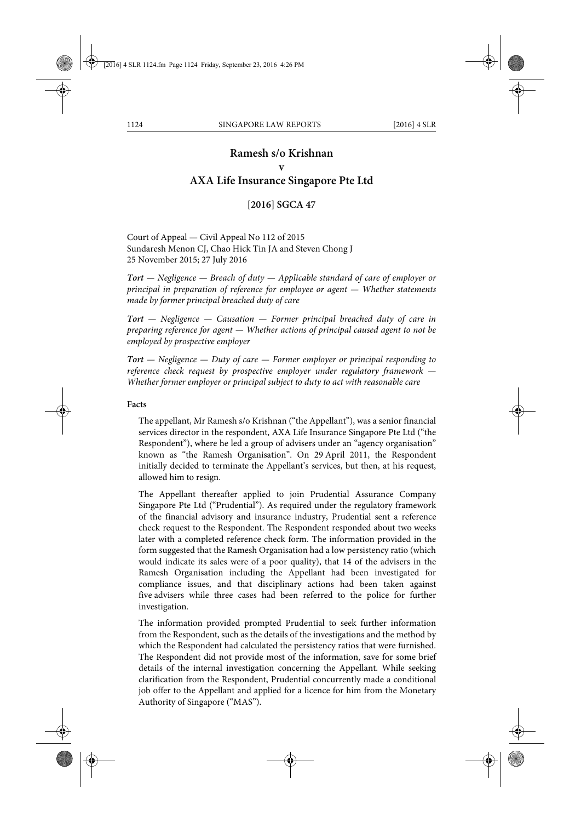# **Ramesh s/o Krishnan v AXA Life Insurance Singapore Pte Ltd**

# **[2016] SGCA 47**

Court of Appeal — Civil Appeal No 112 of 2015 Sundaresh Menon CJ, Chao Hick Tin JA and Steven Chong J 25 November 2015; 27 July 2016

*Tort — Negligence — Breach of duty — Applicable standard of care of employer or principal in preparation of reference for employee or agent — Whether statements made by former principal breached duty of care*

*Tort — Negligence — Causation — Former principal breached duty of care in preparing reference for agent — Whether actions of principal caused agent to not be employed by prospective employer*

*Tort — Negligence — Duty of care — Former employer or principal responding to reference check request by prospective employer under regulatory framework — Whether former employer or principal subject to duty to act with reasonable care*

#### **Facts**

The appellant, Mr Ramesh s/o Krishnan ("the Appellant"), was a senior financial services director in the respondent, AXA Life Insurance Singapore Pte Ltd ("the Respondent"), where he led a group of advisers under an "agency organisation" known as "the Ramesh Organisation". On 29 April 2011, the Respondent initially decided to terminate the Appellant's services, but then, at his request, allowed him to resign.

The Appellant thereafter applied to join Prudential Assurance Company Singapore Pte Ltd ("Prudential"). As required under the regulatory framework of the financial advisory and insurance industry, Prudential sent a reference check request to the Respondent. The Respondent responded about two weeks later with a completed reference check form. The information provided in the form suggested that the Ramesh Organisation had a low persistency ratio (which would indicate its sales were of a poor quality), that 14 of the advisers in the Ramesh Organisation including the Appellant had been investigated for compliance issues, and that disciplinary actions had been taken against five advisers while three cases had been referred to the police for further investigation.

The information provided prompted Prudential to seek further information from the Respondent, such as the details of the investigations and the method by which the Respondent had calculated the persistency ratios that were furnished. The Respondent did not provide most of the information, save for some brief details of the internal investigation concerning the Appellant. While seeking clarification from the Respondent, Prudential concurrently made a conditional job offer to the Appellant and applied for a licence for him from the Monetary Authority of Singapore ("MAS").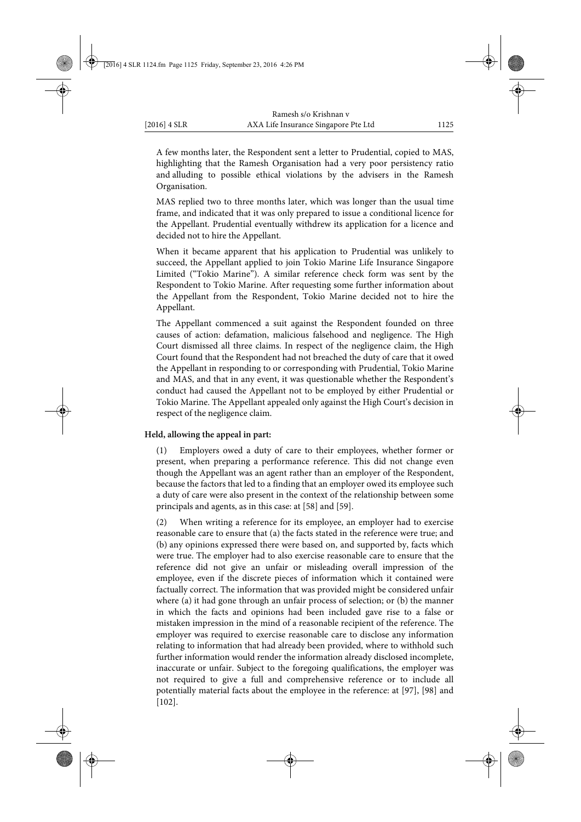A few months later, the Respondent sent a letter to Prudential, copied to MAS, highlighting that the Ramesh Organisation had a very poor persistency ratio and alluding to possible ethical violations by the advisers in the Ramesh Organisation.

MAS replied two to three months later, which was longer than the usual time frame, and indicated that it was only prepared to issue a conditional licence for the Appellant. Prudential eventually withdrew its application for a licence and decided not to hire the Appellant.

When it became apparent that his application to Prudential was unlikely to succeed, the Appellant applied to join Tokio Marine Life Insurance Singapore Limited ("Tokio Marine"). A similar reference check form was sent by the Respondent to Tokio Marine. After requesting some further information about the Appellant from the Respondent, Tokio Marine decided not to hire the Appellant.

The Appellant commenced a suit against the Respondent founded on three causes of action: defamation, malicious falsehood and negligence. The High Court dismissed all three claims. In respect of the negligence claim, the High Court found that the Respondent had not breached the duty of care that it owed the Appellant in responding to or corresponding with Prudential, Tokio Marine and MAS, and that in any event, it was questionable whether the Respondent's conduct had caused the Appellant not to be employed by either Prudential or Tokio Marine. The Appellant appealed only against the High Court's decision in respect of the negligence claim.

#### **Held, allowing the appeal in part:**

(1) Employers owed a duty of care to their employees, whether former or present, when preparing a performance reference. This did not change even though the Appellant was an agent rather than an employer of the Respondent, because the factors that led to a finding that an employer owed its employee such a duty of care were also present in the context of the relationship between some principals and agents, as in this case: at [58] and [59].

(2) When writing a reference for its employee, an employer had to exercise reasonable care to ensure that (a) the facts stated in the reference were true; and (b) any opinions expressed there were based on, and supported by, facts which were true. The employer had to also exercise reasonable care to ensure that the reference did not give an unfair or misleading overall impression of the employee, even if the discrete pieces of information which it contained were factually correct. The information that was provided might be considered unfair where (a) it had gone through an unfair process of selection; or (b) the manner in which the facts and opinions had been included gave rise to a false or mistaken impression in the mind of a reasonable recipient of the reference. The employer was required to exercise reasonable care to disclose any information relating to information that had already been provided, where to withhold such further information would render the information already disclosed incomplete, inaccurate or unfair. Subject to the foregoing qualifications, the employer was not required to give a full and comprehensive reference or to include all potentially material facts about the employee in the reference: at [97], [98] and [102].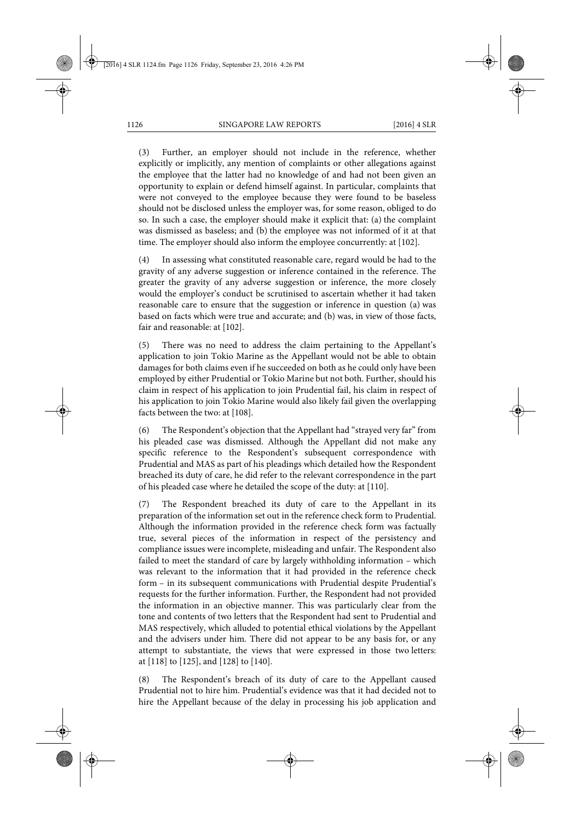(3) Further, an employer should not include in the reference, whether explicitly or implicitly, any mention of complaints or other allegations against the employee that the latter had no knowledge of and had not been given an opportunity to explain or defend himself against. In particular, complaints that were not conveyed to the employee because they were found to be baseless should not be disclosed unless the employer was, for some reason, obliged to do so. In such a case, the employer should make it explicit that: (a) the complaint was dismissed as baseless; and (b) the employee was not informed of it at that time. The employer should also inform the employee concurrently: at [102].

(4) In assessing what constituted reasonable care, regard would be had to the gravity of any adverse suggestion or inference contained in the reference. The greater the gravity of any adverse suggestion or inference, the more closely would the employer's conduct be scrutinised to ascertain whether it had taken reasonable care to ensure that the suggestion or inference in question (a) was based on facts which were true and accurate; and (b) was, in view of those facts, fair and reasonable: at [102].

(5) There was no need to address the claim pertaining to the Appellant's application to join Tokio Marine as the Appellant would not be able to obtain damages for both claims even if he succeeded on both as he could only have been employed by either Prudential or Tokio Marine but not both. Further, should his claim in respect of his application to join Prudential fail, his claim in respect of his application to join Tokio Marine would also likely fail given the overlapping facts between the two: at [108].

(6) The Respondent's objection that the Appellant had "strayed very far" from his pleaded case was dismissed. Although the Appellant did not make any specific reference to the Respondent's subsequent correspondence with Prudential and MAS as part of his pleadings which detailed how the Respondent breached its duty of care, he did refer to the relevant correspondence in the part of his pleaded case where he detailed the scope of the duty: at [110].

(7) The Respondent breached its duty of care to the Appellant in its preparation of the information set out in the reference check form to Prudential. Although the information provided in the reference check form was factually true, several pieces of the information in respect of the persistency and compliance issues were incomplete, misleading and unfair. The Respondent also failed to meet the standard of care by largely withholding information – which was relevant to the information that it had provided in the reference check form – in its subsequent communications with Prudential despite Prudential's requests for the further information. Further, the Respondent had not provided the information in an objective manner. This was particularly clear from the tone and contents of two letters that the Respondent had sent to Prudential and MAS respectively, which alluded to potential ethical violations by the Appellant and the advisers under him. There did not appear to be any basis for, or any attempt to substantiate, the views that were expressed in those two letters: at [118] to [125], and [128] to [140].

(8) The Respondent's breach of its duty of care to the Appellant caused Prudential not to hire him. Prudential's evidence was that it had decided not to hire the Appellant because of the delay in processing his job application and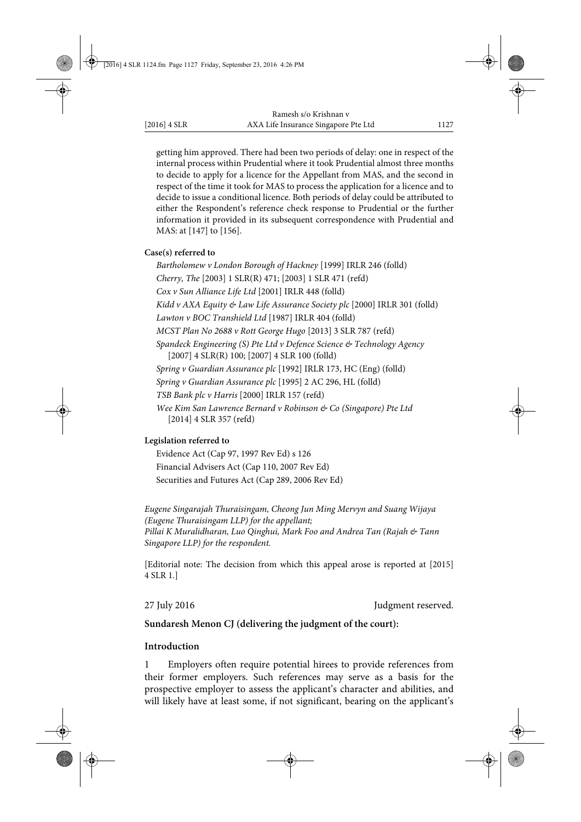getting him approved. There had been two periods of delay: one in respect of the internal process within Prudential where it took Prudential almost three months to decide to apply for a licence for the Appellant from MAS, and the second in respect of the time it took for MAS to process the application for a licence and to decide to issue a conditional licence. Both periods of delay could be attributed to either the Respondent's reference check response to Prudential or the further information it provided in its subsequent correspondence with Prudential and MAS: at [147] to [156].

### **Case(s) referred to**

*Bartholomew v London Borough of Hackney* [1999] IRLR 246 (folld) *Cherry, The* [2003] 1 SLR(R) 471; [2003] 1 SLR 471 (refd) *Cox v Sun Alliance Life Ltd* [2001] IRLR 448 (folld) *Kidd v AXA Equity & Law Life Assurance Society plc* [2000] IRLR 301 (folld) *Lawton v BOC Transhield Ltd* [1987] IRLR 404 (folld) *MCST Plan No 2688 v Rott George Hugo* [2013] 3 SLR 787 (refd) *Spandeck Engineering (S) Pte Ltd v Defence Science & Technology Agency* [2007] 4 SLR(R) 100; [2007] 4 SLR 100 (folld) *Spring v Guardian Assurance plc* [1992] IRLR 173, HC (Eng) (folld) *Spring v Guardian Assurance plc* [1995] 2 AC 296, HL (folld) *TSB Bank plc v Harris* [2000] IRLR 157 (refd) *Wee Kim San Lawrence Bernard v Robinson & Co (Singapore) Pte Ltd* [2014] 4 SLR 357 (refd)

### **Legislation referred to**

Evidence Act (Cap 97, 1997 Rev Ed) s 126 Financial Advisers Act (Cap 110, 2007 Rev Ed) Securities and Futures Act (Cap 289, 2006 Rev Ed)

*Eugene Singarajah Thuraisingam, Cheong Jun Ming Mervyn and Suang Wijaya (Eugene Thuraisingam LLP) for the appellant; Pillai K Muralidharan, Luo Qinghui, Mark Foo and Andrea Tan (Rajah & Tann Singapore LLP) for the respondent.*

[Editorial note: The decision from which this appeal arose is reported at [2015] 4 SLR 1.]

27 July 2016 **Judgment reserved.** 

# **Sundaresh Menon CJ (delivering the judgment of the court):**

# **Introduction**

1 Employers often require potential hirees to provide references from their former employers. Such references may serve as a basis for the prospective employer to assess the applicant's character and abilities, and will likely have at least some, if not significant, bearing on the applicant's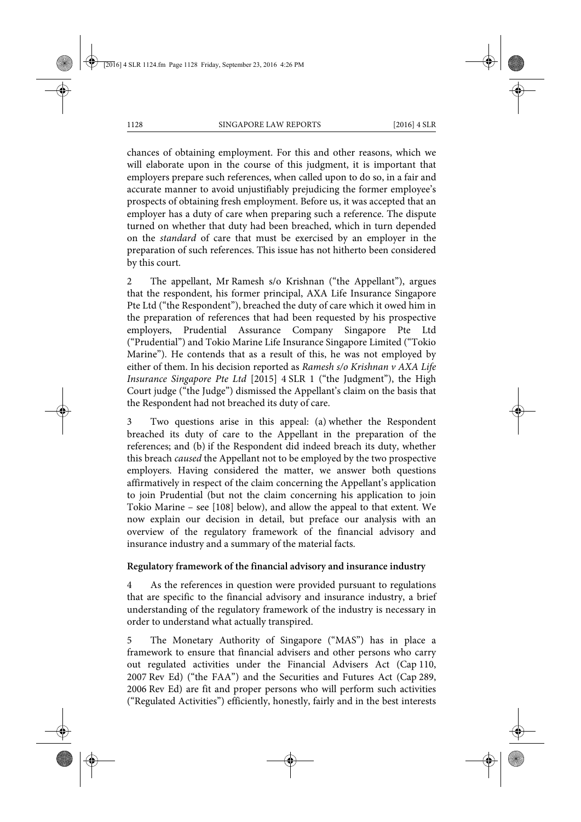chances of obtaining employment. For this and other reasons, which we will elaborate upon in the course of this judgment, it is important that employers prepare such references, when called upon to do so, in a fair and accurate manner to avoid unjustifiably prejudicing the former employee's prospects of obtaining fresh employment. Before us, it was accepted that an employer has a duty of care when preparing such a reference. The dispute turned on whether that duty had been breached, which in turn depended on the *standard* of care that must be exercised by an employer in the preparation of such references. This issue has not hitherto been considered by this court.

2 The appellant, Mr Ramesh s/o Krishnan ("the Appellant"), argues that the respondent, his former principal, AXA Life Insurance Singapore Pte Ltd ("the Respondent"), breached the duty of care which it owed him in the preparation of references that had been requested by his prospective employers, Prudential Assurance Company Singapore Pte Ltd ("Prudential") and Tokio Marine Life Insurance Singapore Limited ("Tokio Marine"). He contends that as a result of this, he was not employed by either of them. In his decision reported as *Ramesh s/o Krishnan v AXA Life Insurance Singapore Pte Ltd* [2015] 4 SLR 1 ("the Judgment"), the High Court judge ("the Judge") dismissed the Appellant's claim on the basis that the Respondent had not breached its duty of care.

3 Two questions arise in this appeal: (a) whether the Respondent breached its duty of care to the Appellant in the preparation of the references; and (b) if the Respondent did indeed breach its duty, whether this breach *caused* the Appellant not to be employed by the two prospective employers. Having considered the matter, we answer both questions affirmatively in respect of the claim concerning the Appellant's application to join Prudential (but not the claim concerning his application to join Tokio Marine – see [108] below), and allow the appeal to that extent. We now explain our decision in detail, but preface our analysis with an overview of the regulatory framework of the financial advisory and insurance industry and a summary of the material facts.

#### **Regulatory framework of the financial advisory and insurance industry**

As the references in question were provided pursuant to regulations that are specific to the financial advisory and insurance industry, a brief understanding of the regulatory framework of the industry is necessary in order to understand what actually transpired.

The Monetary Authority of Singapore ("MAS") has in place a framework to ensure that financial advisers and other persons who carry out regulated activities under the Financial Advisers Act (Cap 110, 2007 Rev Ed) ("the FAA") and the Securities and Futures Act (Cap 289, 2006 Rev Ed) are fit and proper persons who will perform such activities ("Regulated Activities") efficiently, honestly, fairly and in the best interests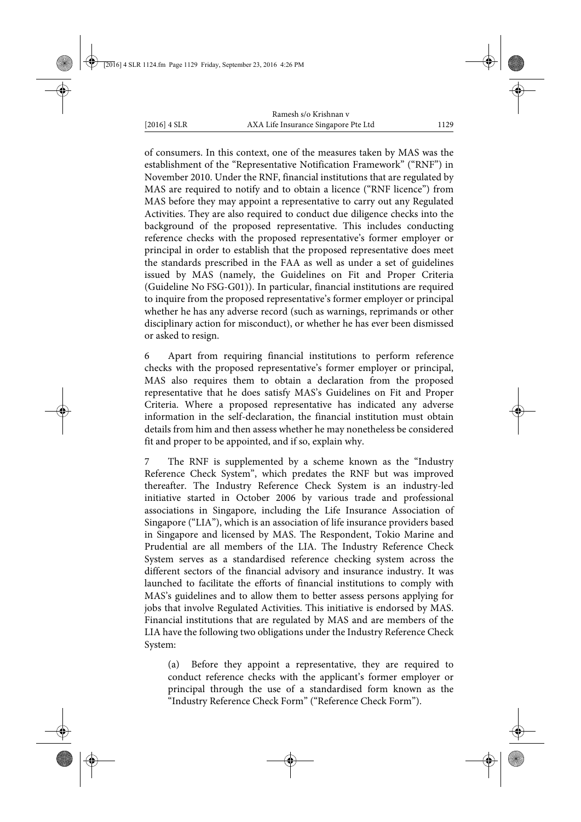of consumers. In this context, one of the measures taken by MAS was the establishment of the "Representative Notification Framework" ("RNF") in November 2010. Under the RNF, financial institutions that are regulated by MAS are required to notify and to obtain a licence ("RNF licence") from MAS before they may appoint a representative to carry out any Regulated Activities. They are also required to conduct due diligence checks into the background of the proposed representative. This includes conducting reference checks with the proposed representative's former employer or principal in order to establish that the proposed representative does meet the standards prescribed in the FAA as well as under a set of guidelines issued by MAS (namely, the Guidelines on Fit and Proper Criteria (Guideline No FSG-G01)). In particular, financial institutions are required to inquire from the proposed representative's former employer or principal whether he has any adverse record (such as warnings, reprimands or other disciplinary action for misconduct), or whether he has ever been dismissed or asked to resign.

6 Apart from requiring financial institutions to perform reference checks with the proposed representative's former employer or principal, MAS also requires them to obtain a declaration from the proposed representative that he does satisfy MAS's Guidelines on Fit and Proper Criteria. Where a proposed representative has indicated any adverse information in the self-declaration, the financial institution must obtain details from him and then assess whether he may nonetheless be considered fit and proper to be appointed, and if so, explain why.

The RNF is supplemented by a scheme known as the "Industry Reference Check System", which predates the RNF but was improved thereafter. The Industry Reference Check System is an industry-led initiative started in October 2006 by various trade and professional associations in Singapore, including the Life Insurance Association of Singapore ("LIA"), which is an association of life insurance providers based in Singapore and licensed by MAS. The Respondent, Tokio Marine and Prudential are all members of the LIA. The Industry Reference Check System serves as a standardised reference checking system across the different sectors of the financial advisory and insurance industry. It was launched to facilitate the efforts of financial institutions to comply with MAS's guidelines and to allow them to better assess persons applying for jobs that involve Regulated Activities. This initiative is endorsed by MAS. Financial institutions that are regulated by MAS and are members of the LIA have the following two obligations under the Industry Reference Check System:

(a) Before they appoint a representative, they are required to conduct reference checks with the applicant's former employer or principal through the use of a standardised form known as the "Industry Reference Check Form" ("Reference Check Form").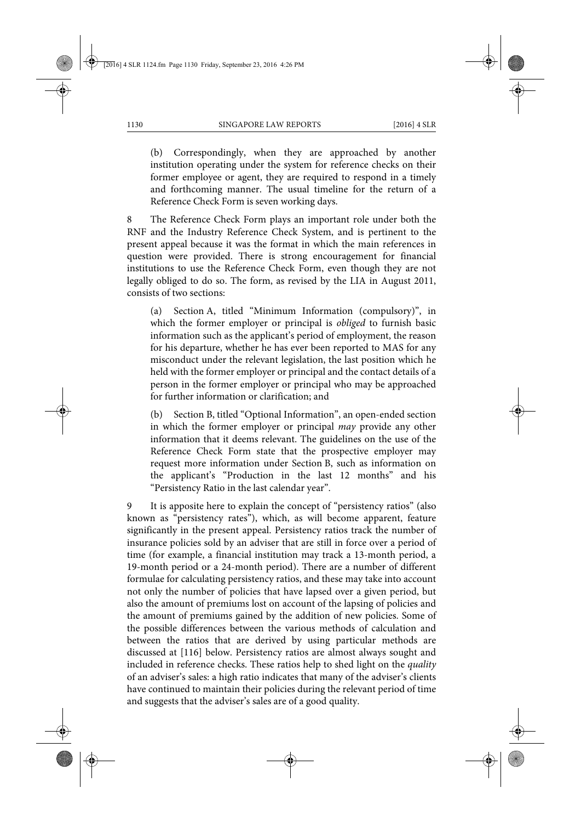(b) Correspondingly, when they are approached by another institution operating under the system for reference checks on their former employee or agent, they are required to respond in a timely and forthcoming manner. The usual timeline for the return of a Reference Check Form is seven working days.

8 The Reference Check Form plays an important role under both the RNF and the Industry Reference Check System, and is pertinent to the present appeal because it was the format in which the main references in question were provided. There is strong encouragement for financial institutions to use the Reference Check Form, even though they are not legally obliged to do so. The form, as revised by the LIA in August 2011, consists of two sections:

(a) Section A, titled "Minimum Information (compulsory)", in which the former employer or principal is *obliged* to furnish basic information such as the applicant's period of employment, the reason for his departure, whether he has ever been reported to MAS for any misconduct under the relevant legislation, the last position which he held with the former employer or principal and the contact details of a person in the former employer or principal who may be approached for further information or clarification; and

(b) Section B, titled "Optional Information", an open-ended section in which the former employer or principal *may* provide any other information that it deems relevant. The guidelines on the use of the Reference Check Form state that the prospective employer may request more information under Section B, such as information on the applicant's "Production in the last 12 months" and his "Persistency Ratio in the last calendar year".

It is apposite here to explain the concept of "persistency ratios" (also known as "persistency rates"), which, as will become apparent, feature significantly in the present appeal. Persistency ratios track the number of insurance policies sold by an adviser that are still in force over a period of time (for example, a financial institution may track a 13-month period, a 19-month period or a 24-month period). There are a number of different formulae for calculating persistency ratios, and these may take into account not only the number of policies that have lapsed over a given period, but also the amount of premiums lost on account of the lapsing of policies and the amount of premiums gained by the addition of new policies. Some of the possible differences between the various methods of calculation and between the ratios that are derived by using particular methods are discussed at [116] below. Persistency ratios are almost always sought and included in reference checks. These ratios help to shed light on the *quality* of an adviser's sales: a high ratio indicates that many of the adviser's clients have continued to maintain their policies during the relevant period of time and suggests that the adviser's sales are of a good quality.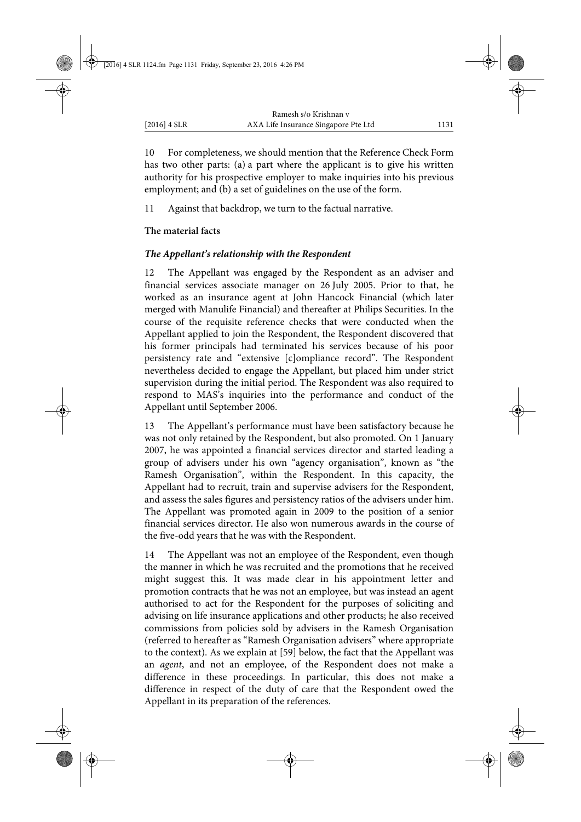10 For completeness, we should mention that the Reference Check Form has two other parts: (a) a part where the applicant is to give his written authority for his prospective employer to make inquiries into his previous employment; and (b) a set of guidelines on the use of the form.

11 Against that backdrop, we turn to the factual narrative.

# **The material facts**

# *The Appellant's relationship with the Respondent*

12 The Appellant was engaged by the Respondent as an adviser and financial services associate manager on 26 July 2005. Prior to that, he worked as an insurance agent at John Hancock Financial (which later merged with Manulife Financial) and thereafter at Philips Securities. In the course of the requisite reference checks that were conducted when the Appellant applied to join the Respondent, the Respondent discovered that his former principals had terminated his services because of his poor persistency rate and "extensive [c]ompliance record". The Respondent nevertheless decided to engage the Appellant, but placed him under strict supervision during the initial period. The Respondent was also required to respond to MAS's inquiries into the performance and conduct of the Appellant until September 2006.

13 The Appellant's performance must have been satisfactory because he was not only retained by the Respondent, but also promoted. On 1 January 2007, he was appointed a financial services director and started leading a group of advisers under his own "agency organisation", known as "the Ramesh Organisation", within the Respondent. In this capacity, the Appellant had to recruit, train and supervise advisers for the Respondent, and assess the sales figures and persistency ratios of the advisers under him. The Appellant was promoted again in 2009 to the position of a senior financial services director. He also won numerous awards in the course of the five-odd years that he was with the Respondent.

14 The Appellant was not an employee of the Respondent, even though the manner in which he was recruited and the promotions that he received might suggest this. It was made clear in his appointment letter and promotion contracts that he was not an employee, but was instead an agent authorised to act for the Respondent for the purposes of soliciting and advising on life insurance applications and other products; he also received commissions from policies sold by advisers in the Ramesh Organisation (referred to hereafter as "Ramesh Organisation advisers" where appropriate to the context). As we explain at [59] below, the fact that the Appellant was an *agent*, and not an employee, of the Respondent does not make a difference in these proceedings. In particular, this does not make a difference in respect of the duty of care that the Respondent owed the Appellant in its preparation of the references.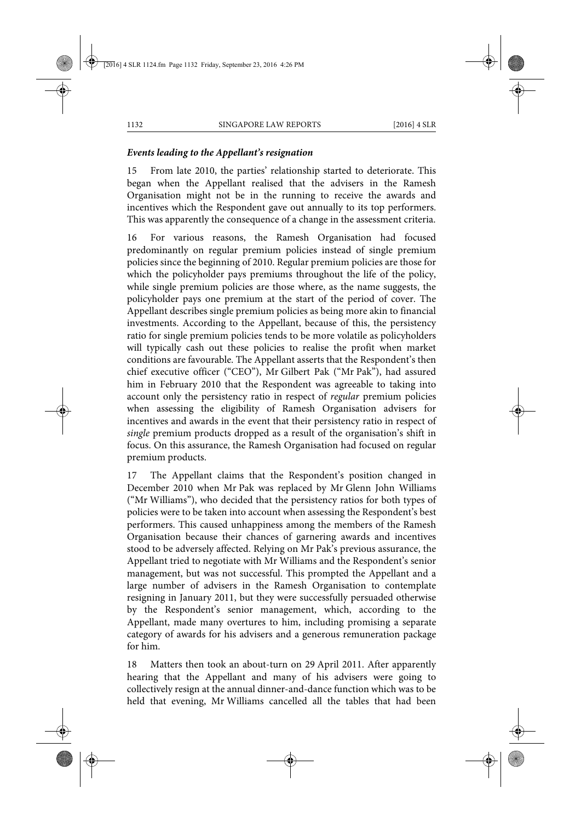# *Events leading to the Appellant's resignation*

15 From late 2010, the parties' relationship started to deteriorate. This began when the Appellant realised that the advisers in the Ramesh Organisation might not be in the running to receive the awards and incentives which the Respondent gave out annually to its top performers. This was apparently the consequence of a change in the assessment criteria.

16 For various reasons, the Ramesh Organisation had focused predominantly on regular premium policies instead of single premium policies since the beginning of 2010. Regular premium policies are those for which the policyholder pays premiums throughout the life of the policy, while single premium policies are those where, as the name suggests, the policyholder pays one premium at the start of the period of cover. The Appellant describes single premium policies as being more akin to financial investments. According to the Appellant, because of this, the persistency ratio for single premium policies tends to be more volatile as policyholders will typically cash out these policies to realise the profit when market conditions are favourable. The Appellant asserts that the Respondent's then chief executive officer ("CEO"), Mr Gilbert Pak ("Mr Pak"), had assured him in February 2010 that the Respondent was agreeable to taking into account only the persistency ratio in respect of *regular* premium policies when assessing the eligibility of Ramesh Organisation advisers for incentives and awards in the event that their persistency ratio in respect of *single* premium products dropped as a result of the organisation's shift in focus. On this assurance, the Ramesh Organisation had focused on regular premium products.

17 The Appellant claims that the Respondent's position changed in December 2010 when Mr Pak was replaced by Mr Glenn John Williams ("Mr Williams"), who decided that the persistency ratios for both types of policies were to be taken into account when assessing the Respondent's best performers. This caused unhappiness among the members of the Ramesh Organisation because their chances of garnering awards and incentives stood to be adversely affected. Relying on Mr Pak's previous assurance, the Appellant tried to negotiate with Mr Williams and the Respondent's senior management, but was not successful. This prompted the Appellant and a large number of advisers in the Ramesh Organisation to contemplate resigning in January 2011, but they were successfully persuaded otherwise by the Respondent's senior management, which, according to the Appellant, made many overtures to him, including promising a separate category of awards for his advisers and a generous remuneration package for him.

18 Matters then took an about-turn on 29 April 2011. After apparently hearing that the Appellant and many of his advisers were going to collectively resign at the annual dinner-and-dance function which was to be held that evening, Mr Williams cancelled all the tables that had been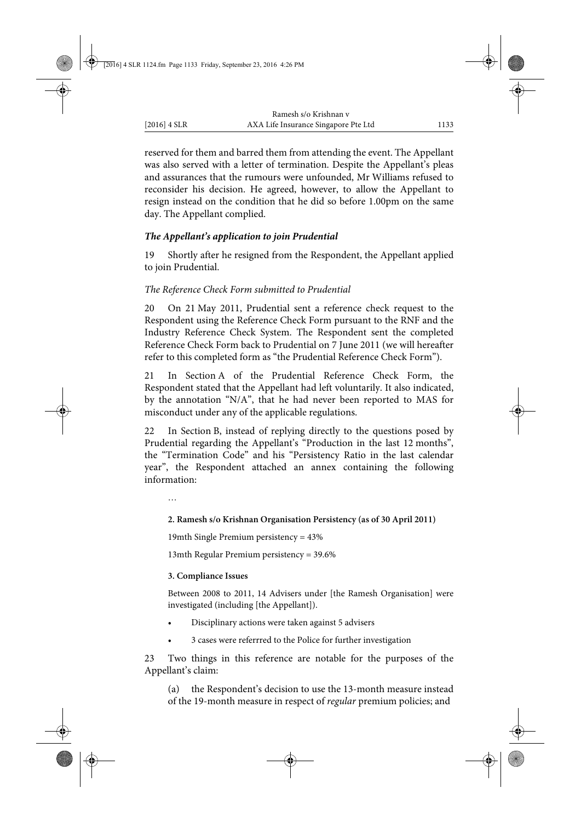reserved for them and barred them from attending the event. The Appellant was also served with a letter of termination. Despite the Appellant's pleas and assurances that the rumours were unfounded, Mr Williams refused to reconsider his decision. He agreed, however, to allow the Appellant to resign instead on the condition that he did so before 1.00pm on the same day. The Appellant complied.

# *The Appellant's application to join Prudential*

19 Shortly after he resigned from the Respondent, the Appellant applied to join Prudential.

# *The Reference Check Form submitted to Prudential*

20 On 21 May 2011, Prudential sent a reference check request to the Respondent using the Reference Check Form pursuant to the RNF and the Industry Reference Check System. The Respondent sent the completed Reference Check Form back to Prudential on 7 June 2011 (we will hereafter refer to this completed form as "the Prudential Reference Check Form").

21 In Section A of the Prudential Reference Check Form, the Respondent stated that the Appellant had left voluntarily. It also indicated, by the annotation "N/A", that he had never been reported to MAS for misconduct under any of the applicable regulations.

22 In Section B, instead of replying directly to the questions posed by Prudential regarding the Appellant's "Production in the last 12 months", the "Termination Code" and his "Persistency Ratio in the last calendar year", the Respondent attached an annex containing the following information:

…

### **2. Ramesh s/o Krishnan Organisation Persistency (as of 30 April 2011)**

19mth Single Premium persistency = 43%

13mth Regular Premium persistency = 39.6%

#### **3. Compliance Issues**

Between 2008 to 2011, 14 Advisers under [the Ramesh Organisation] were investigated (including [the Appellant]).

- Disciplinary actions were taken against 5 advisers
- 3 cases were referrred to the Police for further investigation

23 Two things in this reference are notable for the purposes of the Appellant's claim:

(a) the Respondent's decision to use the 13-month measure instead of the 19-month measure in respect of *regular* premium policies; and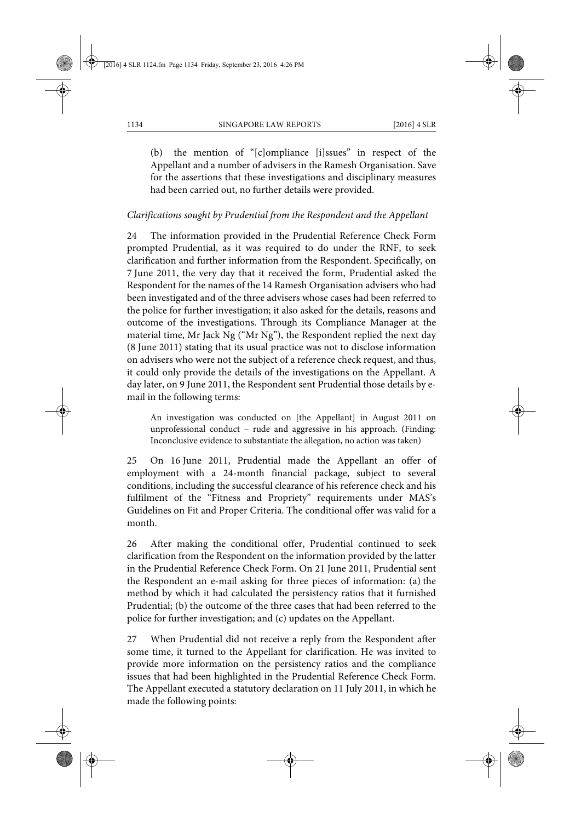(b) the mention of "[c]ompliance [i]ssues" in respect of the Appellant and a number of advisers in the Ramesh Organisation. Save for the assertions that these investigations and disciplinary measures had been carried out, no further details were provided.

#### *Clarifications sought by Prudential from the Respondent and the Appellant*

24 The information provided in the Prudential Reference Check Form prompted Prudential, as it was required to do under the RNF, to seek clarification and further information from the Respondent. Specifically, on 7 June 2011, the very day that it received the form, Prudential asked the Respondent for the names of the 14 Ramesh Organisation advisers who had been investigated and of the three advisers whose cases had been referred to the police for further investigation; it also asked for the details, reasons and outcome of the investigations. Through its Compliance Manager at the material time, Mr Jack Ng ("Mr Ng"), the Respondent replied the next day (8 June 2011) stating that its usual practice was not to disclose information on advisers who were not the subject of a reference check request, and thus, it could only provide the details of the investigations on the Appellant. A day later, on 9 June 2011, the Respondent sent Prudential those details by email in the following terms:

An investigation was conducted on [the Appellant] in August 2011 on unprofessional conduct – rude and aggressive in his approach. (Finding: Inconclusive evidence to substantiate the allegation, no action was taken)

25 On 16 June 2011, Prudential made the Appellant an offer of employment with a 24-month financial package, subject to several conditions, including the successful clearance of his reference check and his fulfilment of the "Fitness and Propriety" requirements under MAS's Guidelines on Fit and Proper Criteria. The conditional offer was valid for a month.

26 After making the conditional offer, Prudential continued to seek clarification from the Respondent on the information provided by the latter in the Prudential Reference Check Form. On 21 June 2011, Prudential sent the Respondent an e-mail asking for three pieces of information: (a) the method by which it had calculated the persistency ratios that it furnished Prudential; (b) the outcome of the three cases that had been referred to the police for further investigation; and (c) updates on the Appellant.

27 When Prudential did not receive a reply from the Respondent after some time, it turned to the Appellant for clarification. He was invited to provide more information on the persistency ratios and the compliance issues that had been highlighted in the Prudential Reference Check Form. The Appellant executed a statutory declaration on 11 July 2011, in which he made the following points: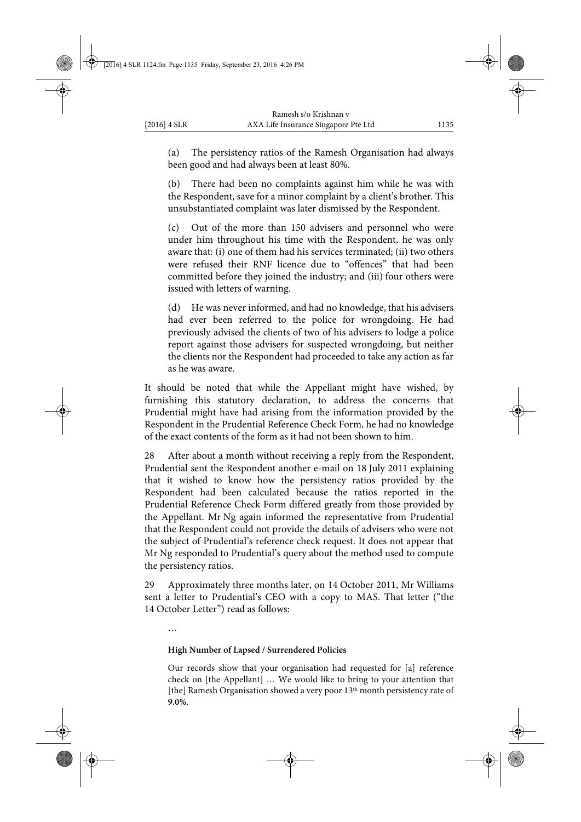(a) The persistency ratios of the Ramesh Organisation had always been good and had always been at least 80%.

(b) There had been no complaints against him while he was with the Respondent, save for a minor complaint by a client's brother. This unsubstantiated complaint was later dismissed by the Respondent.

(c) Out of the more than 150 advisers and personnel who were under him throughout his time with the Respondent, he was only aware that: (i) one of them had his services terminated; (ii) two others were refused their RNF licence due to "offences" that had been committed before they joined the industry; and (iii) four others were issued with letters of warning.

(d) He was never informed, and had no knowledge, that his advisers had ever been referred to the police for wrongdoing. He had previously advised the clients of two of his advisers to lodge a police report against those advisers for suspected wrongdoing, but neither the clients nor the Respondent had proceeded to take any action as far as he was aware.

It should be noted that while the Appellant might have wished, by furnishing this statutory declaration, to address the concerns that Prudential might have had arising from the information provided by the Respondent in the Prudential Reference Check Form, he had no knowledge of the exact contents of the form as it had not been shown to him.

28 After about a month without receiving a reply from the Respondent, Prudential sent the Respondent another e-mail on 18 July 2011 explaining that it wished to know how the persistency ratios provided by the Respondent had been calculated because the ratios reported in the Prudential Reference Check Form differed greatly from those provided by the Appellant. Mr Ng again informed the representative from Prudential that the Respondent could not provide the details of advisers who were not the subject of Prudential's reference check request. It does not appear that Mr Ng responded to Prudential's query about the method used to compute the persistency ratios.

29 Approximately three months later, on 14 October 2011, Mr Williams sent a letter to Prudential's CEO with a copy to MAS. That letter ("the 14 October Letter") read as follows:

…

### **High Number of Lapsed / Surrendered Policies**

Our records show that your organisation had requested for [a] reference check on [the Appellant] … We would like to bring to your attention that [the] Ramesh Organisation showed a very poor 13<sup>th</sup> month persistency rate of **9.0%**.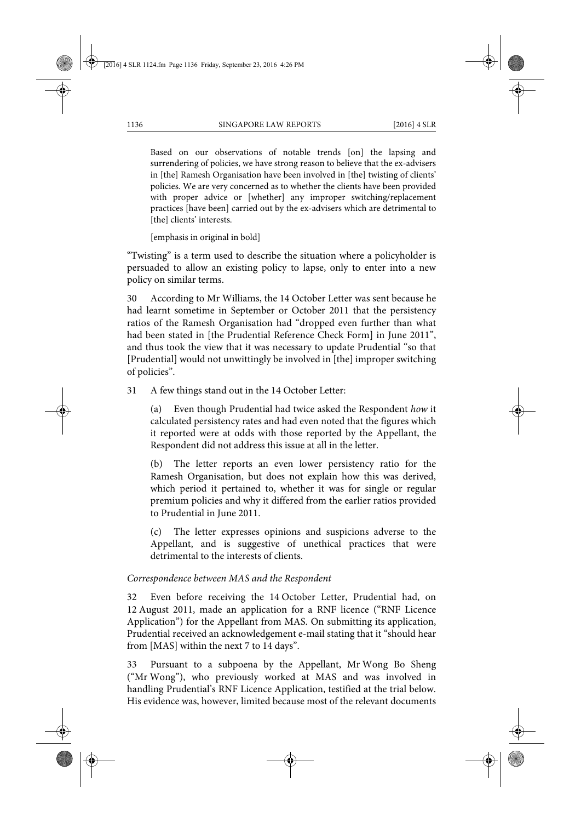Based on our observations of notable trends [on] the lapsing and surrendering of policies, we have strong reason to believe that the ex-advisers in [the] Ramesh Organisation have been involved in [the] twisting of clients' policies. We are very concerned as to whether the clients have been provided with proper advice or [whether] any improper switching/replacement practices [have been] carried out by the ex-advisers which are detrimental to [the] clients' interests.

[emphasis in original in bold]

"Twisting" is a term used to describe the situation where a policyholder is persuaded to allow an existing policy to lapse, only to enter into a new policy on similar terms.

30 According to Mr Williams, the 14 October Letter was sent because he had learnt sometime in September or October 2011 that the persistency ratios of the Ramesh Organisation had "dropped even further than what had been stated in [the Prudential Reference Check Form] in June 2011", and thus took the view that it was necessary to update Prudential "so that [Prudential] would not unwittingly be involved in [the] improper switching of policies".

31 A few things stand out in the 14 October Letter:

(a) Even though Prudential had twice asked the Respondent *how* it calculated persistency rates and had even noted that the figures which it reported were at odds with those reported by the Appellant, the Respondent did not address this issue at all in the letter.

(b) The letter reports an even lower persistency ratio for the Ramesh Organisation, but does not explain how this was derived, which period it pertained to, whether it was for single or regular premium policies and why it differed from the earlier ratios provided to Prudential in June 2011.

(c) The letter expresses opinions and suspicions adverse to the Appellant, and is suggestive of unethical practices that were detrimental to the interests of clients.

# *Correspondence between MAS and the Respondent*

32 Even before receiving the 14 October Letter, Prudential had, on 12 August 2011, made an application for a RNF licence ("RNF Licence Application") for the Appellant from MAS. On submitting its application, Prudential received an acknowledgement e-mail stating that it "should hear from [MAS] within the next 7 to 14 days".

33 Pursuant to a subpoena by the Appellant, Mr Wong Bo Sheng ("Mr Wong"), who previously worked at MAS and was involved in handling Prudential's RNF Licence Application, testified at the trial below. His evidence was, however, limited because most of the relevant documents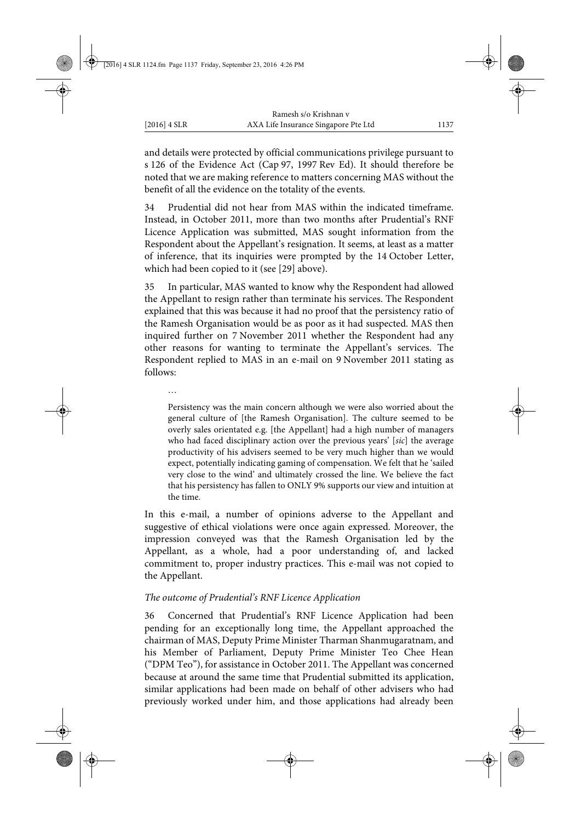and details were protected by official communications privilege pursuant to s 126 of the Evidence Act (Cap 97, 1997 Rev Ed). It should therefore be noted that we are making reference to matters concerning MAS without the benefit of all the evidence on the totality of the events.

34 Prudential did not hear from MAS within the indicated timeframe. Instead, in October 2011, more than two months after Prudential's RNF Licence Application was submitted, MAS sought information from the Respondent about the Appellant's resignation. It seems, at least as a matter of inference, that its inquiries were prompted by the 14 October Letter, which had been copied to it (see [29] above).

35 In particular, MAS wanted to know why the Respondent had allowed the Appellant to resign rather than terminate his services. The Respondent explained that this was because it had no proof that the persistency ratio of the Ramesh Organisation would be as poor as it had suspected. MAS then inquired further on 7 November 2011 whether the Respondent had any other reasons for wanting to terminate the Appellant's services. The Respondent replied to MAS in an e-mail on 9 November 2011 stating as follows:

…

Persistency was the main concern although we were also worried about the general culture of [the Ramesh Organisation]. The culture seemed to be overly sales orientated e.g. [the Appellant] had a high number of managers who had faced disciplinary action over the previous years' [*sic*] the average productivity of his advisers seemed to be very much higher than we would expect, potentially indicating gaming of compensation. We felt that he 'sailed very close to the wind' and ultimately crossed the line. We believe the fact that his persistency has fallen to ONLY 9% supports our view and intuition at the time.

In this e-mail, a number of opinions adverse to the Appellant and suggestive of ethical violations were once again expressed. Moreover, the impression conveyed was that the Ramesh Organisation led by the Appellant, as a whole, had a poor understanding of, and lacked commitment to, proper industry practices. This e-mail was not copied to the Appellant.

### *The outcome of Prudential's RNF Licence Application*

36 Concerned that Prudential's RNF Licence Application had been pending for an exceptionally long time, the Appellant approached the chairman of MAS, Deputy Prime Minister Tharman Shanmugaratnam, and his Member of Parliament, Deputy Prime Minister Teo Chee Hean ("DPM Teo"), for assistance in October 2011. The Appellant was concerned because at around the same time that Prudential submitted its application, similar applications had been made on behalf of other advisers who had previously worked under him, and those applications had already been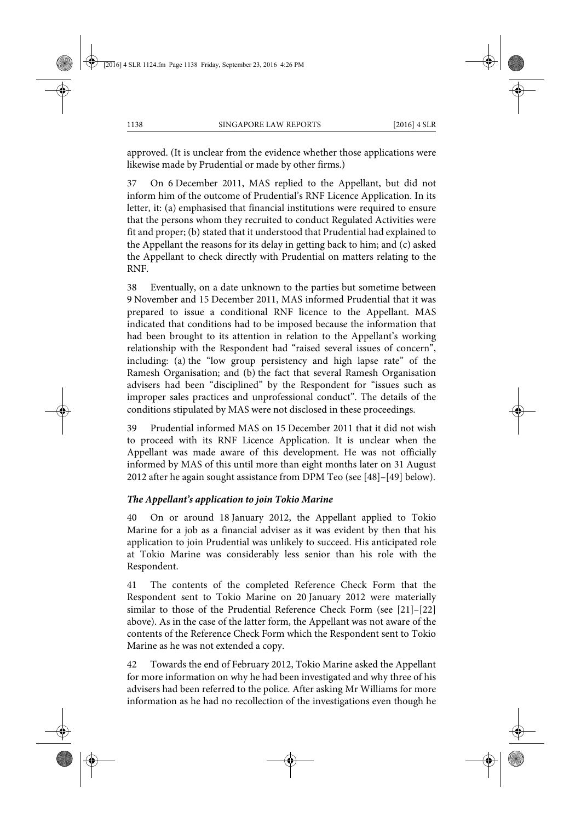approved. (It is unclear from the evidence whether those applications were likewise made by Prudential or made by other firms.)

37 On 6 December 2011, MAS replied to the Appellant, but did not inform him of the outcome of Prudential's RNF Licence Application. In its letter, it: (a) emphasised that financial institutions were required to ensure that the persons whom they recruited to conduct Regulated Activities were fit and proper; (b) stated that it understood that Prudential had explained to the Appellant the reasons for its delay in getting back to him; and (c) asked the Appellant to check directly with Prudential on matters relating to the RNF.

38 Eventually, on a date unknown to the parties but sometime between 9 November and 15 December 2011, MAS informed Prudential that it was prepared to issue a conditional RNF licence to the Appellant. MAS indicated that conditions had to be imposed because the information that had been brought to its attention in relation to the Appellant's working relationship with the Respondent had "raised several issues of concern", including: (a) the "low group persistency and high lapse rate" of the Ramesh Organisation; and (b) the fact that several Ramesh Organisation advisers had been "disciplined" by the Respondent for "issues such as improper sales practices and unprofessional conduct". The details of the conditions stipulated by MAS were not disclosed in these proceedings.

39 Prudential informed MAS on 15 December 2011 that it did not wish to proceed with its RNF Licence Application. It is unclear when the Appellant was made aware of this development. He was not officially informed by MAS of this until more than eight months later on 31 August 2012 after he again sought assistance from DPM Teo (see [48]–[49] below).

# *The Appellant's application to join Tokio Marine*

40 On or around 18 January 2012, the Appellant applied to Tokio Marine for a job as a financial adviser as it was evident by then that his application to join Prudential was unlikely to succeed. His anticipated role at Tokio Marine was considerably less senior than his role with the Respondent.

41 The contents of the completed Reference Check Form that the Respondent sent to Tokio Marine on 20 January 2012 were materially similar to those of the Prudential Reference Check Form (see [21]–[22] above). As in the case of the latter form, the Appellant was not aware of the contents of the Reference Check Form which the Respondent sent to Tokio Marine as he was not extended a copy.

42 Towards the end of February 2012, Tokio Marine asked the Appellant for more information on why he had been investigated and why three of his advisers had been referred to the police. After asking Mr Williams for more information as he had no recollection of the investigations even though he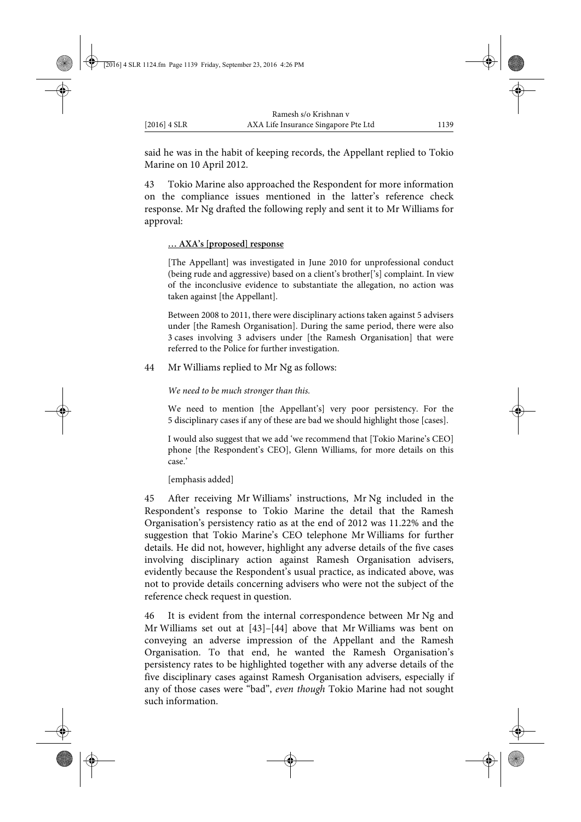said he was in the habit of keeping records, the Appellant replied to Tokio Marine on 10 April 2012.

43 Tokio Marine also approached the Respondent for more information on the compliance issues mentioned in the latter's reference check response. Mr Ng drafted the following reply and sent it to Mr Williams for approval:

#### **… AXA's [proposed] response**

[The Appellant] was investigated in June 2010 for unprofessional conduct (being rude and aggressive) based on a client's brother['s] complaint. In view of the inconclusive evidence to substantiate the allegation, no action was taken against [the Appellant].

Between 2008 to 2011, there were disciplinary actions taken against 5 advisers under [the Ramesh Organisation]. During the same period, there were also 3 cases involving 3 advisers under [the Ramesh Organisation] that were referred to the Police for further investigation.

44 Mr Williams replied to Mr Ng as follows:

*We need to be much stronger than this.*

We need to mention [the Appellant's] very poor persistency. For the 5 disciplinary cases if any of these are bad we should highlight those [cases].

I would also suggest that we add 'we recommend that [Tokio Marine's CEO] phone [the Respondent's CEO], Glenn Williams, for more details on this case.'

[emphasis added]

45 After receiving Mr Williams' instructions, Mr Ng included in the Respondent's response to Tokio Marine the detail that the Ramesh Organisation's persistency ratio as at the end of 2012 was 11.22% and the suggestion that Tokio Marine's CEO telephone Mr Williams for further details. He did not, however, highlight any adverse details of the five cases involving disciplinary action against Ramesh Organisation advisers, evidently because the Respondent's usual practice, as indicated above, was not to provide details concerning advisers who were not the subject of the reference check request in question.

46 It is evident from the internal correspondence between Mr Ng and Mr Williams set out at [43]–[44] above that Mr Williams was bent on conveying an adverse impression of the Appellant and the Ramesh Organisation. To that end, he wanted the Ramesh Organisation's persistency rates to be highlighted together with any adverse details of the five disciplinary cases against Ramesh Organisation advisers, especially if any of those cases were "bad", *even though* Tokio Marine had not sought such information.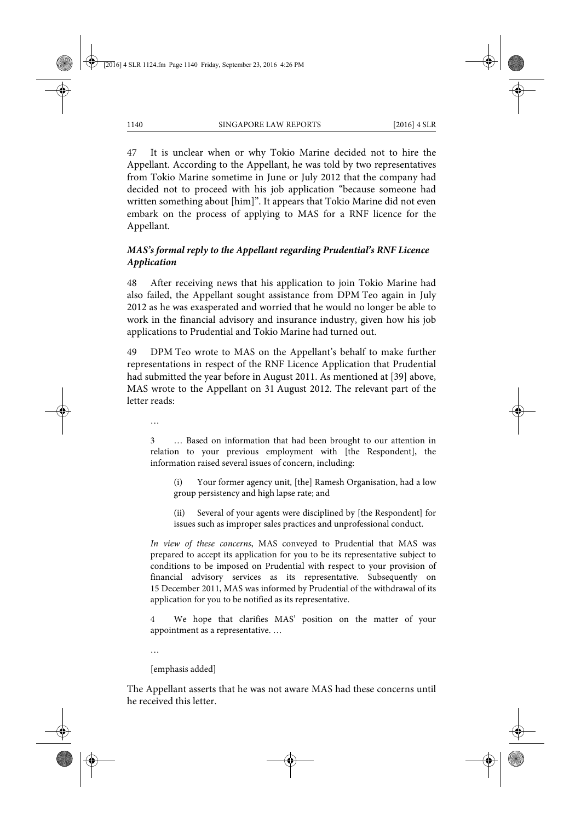47 It is unclear when or why Tokio Marine decided not to hire the Appellant. According to the Appellant, he was told by two representatives from Tokio Marine sometime in June or July 2012 that the company had decided not to proceed with his job application "because someone had written something about [him]". It appears that Tokio Marine did not even embark on the process of applying to MAS for a RNF licence for the Appellant.

# *MAS's formal reply to the Appellant regarding Prudential's RNF Licence Application*

48 After receiving news that his application to join Tokio Marine had also failed, the Appellant sought assistance from DPM Teo again in July 2012 as he was exasperated and worried that he would no longer be able to work in the financial advisory and insurance industry, given how his job applications to Prudential and Tokio Marine had turned out.

49 DPM Teo wrote to MAS on the Appellant's behalf to make further representations in respect of the RNF Licence Application that Prudential had submitted the year before in August 2011. As mentioned at [39] above, MAS wrote to the Appellant on 31 August 2012. The relevant part of the letter reads:

…

3 … Based on information that had been brought to our attention in relation to your previous employment with [the Respondent], the information raised several issues of concern, including:

(i) Your former agency unit, [the] Ramesh Organisation, had a low group persistency and high lapse rate; and

(ii) Several of your agents were disciplined by [the Respondent] for issues such as improper sales practices and unprofessional conduct.

*In view of these concerns*, MAS conveyed to Prudential that MAS was prepared to accept its application for you to be its representative subject to conditions to be imposed on Prudential with respect to your provision of financial advisory services as its representative. Subsequently on 15 December 2011, MAS was informed by Prudential of the withdrawal of its application for you to be notified as its representative.

4 We hope that clarifies MAS' position on the matter of your appointment as a representative. …

…

[emphasis added]

The Appellant asserts that he was not aware MAS had these concerns until he received this letter.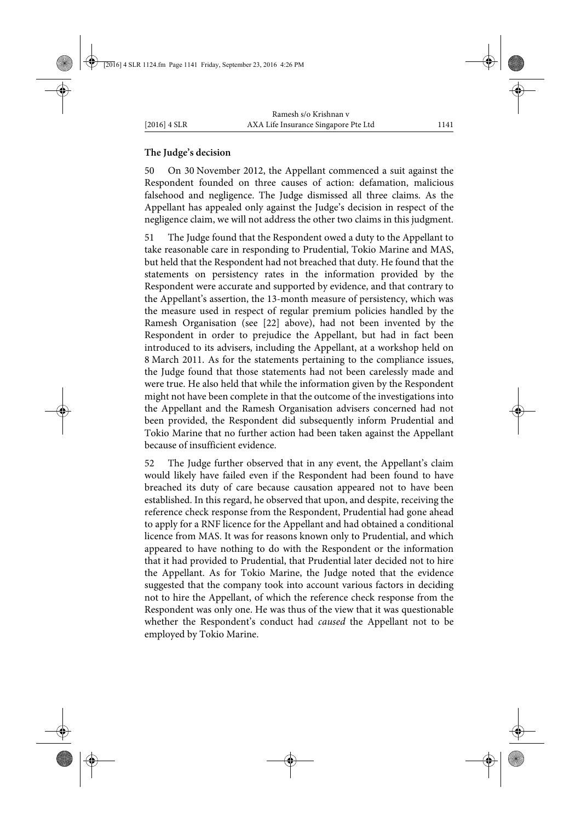### **The Judge's decision**

50 On 30 November 2012, the Appellant commenced a suit against the Respondent founded on three causes of action: defamation, malicious falsehood and negligence. The Judge dismissed all three claims. As the Appellant has appealed only against the Judge's decision in respect of the negligence claim, we will not address the other two claims in this judgment.

51 The Judge found that the Respondent owed a duty to the Appellant to take reasonable care in responding to Prudential, Tokio Marine and MAS, but held that the Respondent had not breached that duty. He found that the statements on persistency rates in the information provided by the Respondent were accurate and supported by evidence, and that contrary to the Appellant's assertion, the 13-month measure of persistency, which was the measure used in respect of regular premium policies handled by the Ramesh Organisation (see [22] above), had not been invented by the Respondent in order to prejudice the Appellant, but had in fact been introduced to its advisers, including the Appellant, at a workshop held on 8 March 2011. As for the statements pertaining to the compliance issues, the Judge found that those statements had not been carelessly made and were true. He also held that while the information given by the Respondent might not have been complete in that the outcome of the investigations into the Appellant and the Ramesh Organisation advisers concerned had not been provided, the Respondent did subsequently inform Prudential and Tokio Marine that no further action had been taken against the Appellant because of insufficient evidence.

52 The Judge further observed that in any event, the Appellant's claim would likely have failed even if the Respondent had been found to have breached its duty of care because causation appeared not to have been established. In this regard, he observed that upon, and despite, receiving the reference check response from the Respondent, Prudential had gone ahead to apply for a RNF licence for the Appellant and had obtained a conditional licence from MAS. It was for reasons known only to Prudential, and which appeared to have nothing to do with the Respondent or the information that it had provided to Prudential, that Prudential later decided not to hire the Appellant. As for Tokio Marine, the Judge noted that the evidence suggested that the company took into account various factors in deciding not to hire the Appellant, of which the reference check response from the Respondent was only one. He was thus of the view that it was questionable whether the Respondent's conduct had *caused* the Appellant not to be employed by Tokio Marine.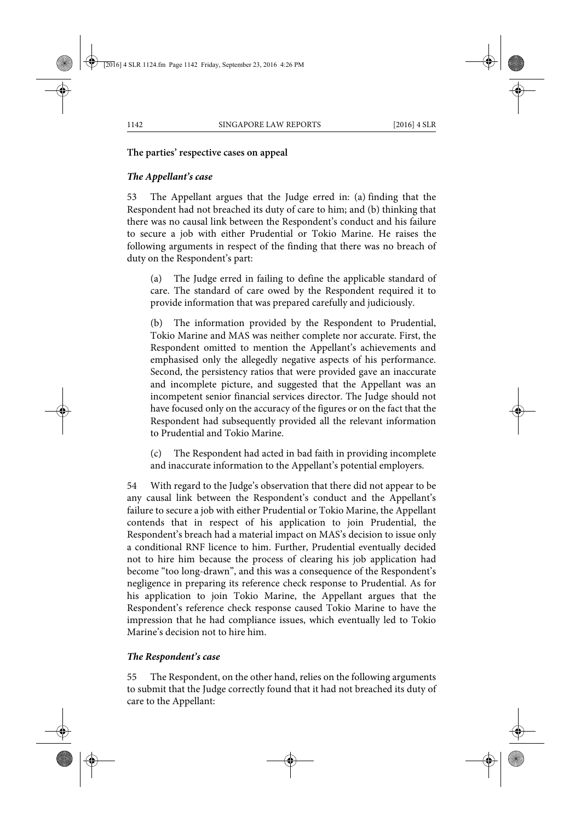# **The parties' respective cases on appeal**

# *The Appellant's case*

53 The Appellant argues that the Judge erred in: (a) finding that the Respondent had not breached its duty of care to him; and (b) thinking that there was no causal link between the Respondent's conduct and his failure to secure a job with either Prudential or Tokio Marine. He raises the following arguments in respect of the finding that there was no breach of duty on the Respondent's part:

(a) The Judge erred in failing to define the applicable standard of care. The standard of care owed by the Respondent required it to provide information that was prepared carefully and judiciously.

(b) The information provided by the Respondent to Prudential, Tokio Marine and MAS was neither complete nor accurate. First, the Respondent omitted to mention the Appellant's achievements and emphasised only the allegedly negative aspects of his performance. Second, the persistency ratios that were provided gave an inaccurate and incomplete picture, and suggested that the Appellant was an incompetent senior financial services director. The Judge should not have focused only on the accuracy of the figures or on the fact that the Respondent had subsequently provided all the relevant information to Prudential and Tokio Marine.

(c) The Respondent had acted in bad faith in providing incomplete and inaccurate information to the Appellant's potential employers.

54 With regard to the Judge's observation that there did not appear to be any causal link between the Respondent's conduct and the Appellant's failure to secure a job with either Prudential or Tokio Marine, the Appellant contends that in respect of his application to join Prudential, the Respondent's breach had a material impact on MAS's decision to issue only a conditional RNF licence to him. Further, Prudential eventually decided not to hire him because the process of clearing his job application had become "too long-drawn", and this was a consequence of the Respondent's negligence in preparing its reference check response to Prudential. As for his application to join Tokio Marine, the Appellant argues that the Respondent's reference check response caused Tokio Marine to have the impression that he had compliance issues, which eventually led to Tokio Marine's decision not to hire him.

# *The Respondent's case*

55 The Respondent, on the other hand, relies on the following arguments to submit that the Judge correctly found that it had not breached its duty of care to the Appellant: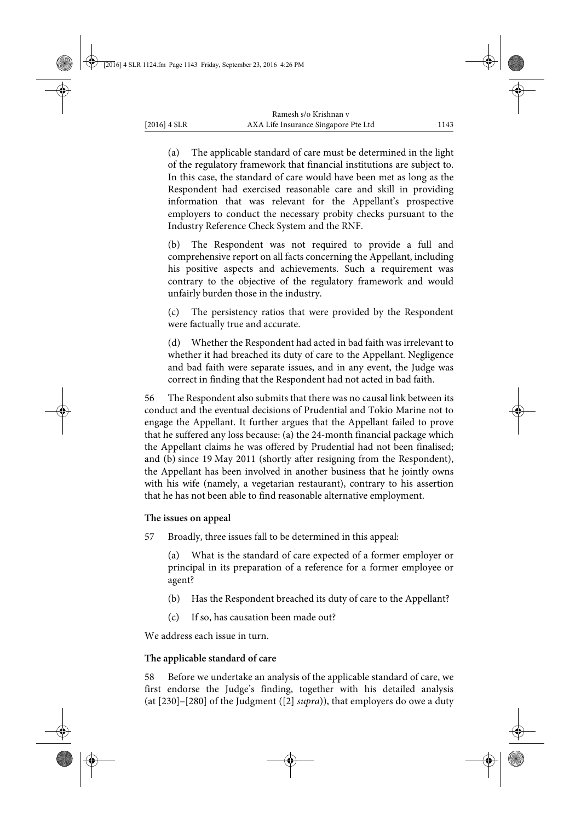(a) The applicable standard of care must be determined in the light of the regulatory framework that financial institutions are subject to. In this case, the standard of care would have been met as long as the Respondent had exercised reasonable care and skill in providing information that was relevant for the Appellant's prospective employers to conduct the necessary probity checks pursuant to the Industry Reference Check System and the RNF.

(b) The Respondent was not required to provide a full and comprehensive report on all facts concerning the Appellant, including his positive aspects and achievements. Such a requirement was contrary to the objective of the regulatory framework and would unfairly burden those in the industry.

(c) The persistency ratios that were provided by the Respondent were factually true and accurate.

(d) Whether the Respondent had acted in bad faith was irrelevant to whether it had breached its duty of care to the Appellant. Negligence and bad faith were separate issues, and in any event, the Judge was correct in finding that the Respondent had not acted in bad faith.

56 The Respondent also submits that there was no causal link between its conduct and the eventual decisions of Prudential and Tokio Marine not to engage the Appellant. It further argues that the Appellant failed to prove that he suffered any loss because: (a) the 24-month financial package which the Appellant claims he was offered by Prudential had not been finalised; and (b) since 19 May 2011 (shortly after resigning from the Respondent), the Appellant has been involved in another business that he jointly owns with his wife (namely, a vegetarian restaurant), contrary to his assertion that he has not been able to find reasonable alternative employment.

### **The issues on appeal**

57 Broadly, three issues fall to be determined in this appeal:

(a) What is the standard of care expected of a former employer or principal in its preparation of a reference for a former employee or agent?

- (b) Has the Respondent breached its duty of care to the Appellant?
- (c) If so, has causation been made out?

We address each issue in turn.

### **The applicable standard of care**

58 Before we undertake an analysis of the applicable standard of care, we first endorse the Judge's finding, together with his detailed analysis (at [230]–[280] of the Judgment ([2] *supra*)), that employers do owe a duty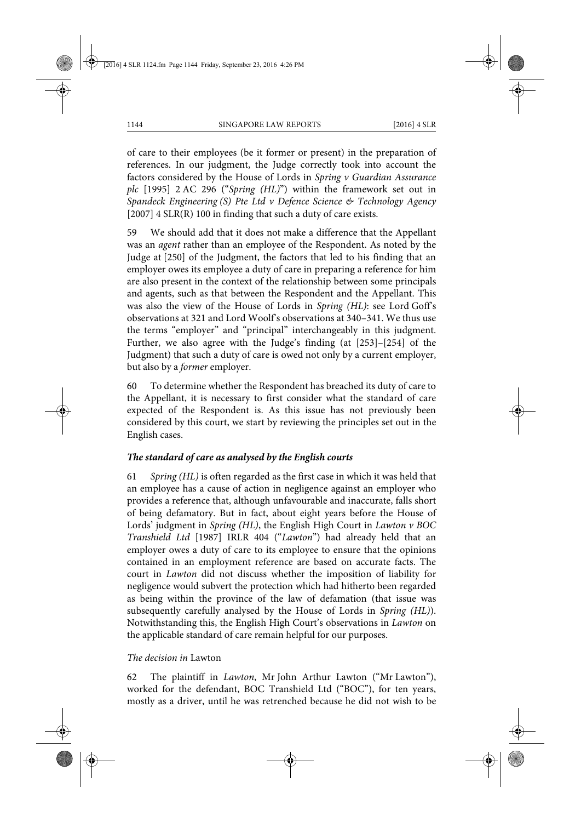of care to their employees (be it former or present) in the preparation of references. In our judgment, the Judge correctly took into account the factors considered by the House of Lords in *Spring v Guardian Assurance plc* [1995] 2 AC 296 ("*Spring (HL)*") within the framework set out in *Spandeck Engineering (S) Pte Ltd v Defence Science & Technology Agency* [2007] 4 SLR(R) 100 in finding that such a duty of care exists.

59 We should add that it does not make a difference that the Appellant was an *agent* rather than an employee of the Respondent. As noted by the Judge at [250] of the Judgment, the factors that led to his finding that an employer owes its employee a duty of care in preparing a reference for him are also present in the context of the relationship between some principals and agents, such as that between the Respondent and the Appellant. This was also the view of the House of Lords in *Spring (HL)*: see Lord Goff's observations at 321 and Lord Woolf's observations at 340–341. We thus use the terms "employer" and "principal" interchangeably in this judgment. Further, we also agree with the Judge's finding (at [253]–[254] of the Judgment) that such a duty of care is owed not only by a current employer, but also by a *former* employer.

60 To determine whether the Respondent has breached its duty of care to the Appellant, it is necessary to first consider what the standard of care expected of the Respondent is. As this issue has not previously been considered by this court, we start by reviewing the principles set out in the English cases.

# *The standard of care as analysed by the English courts*

61 *Spring (HL)* is often regarded as the first case in which it was held that an employee has a cause of action in negligence against an employer who provides a reference that, although unfavourable and inaccurate, falls short of being defamatory. But in fact, about eight years before the House of Lords' judgment in *Spring (HL)*, the English High Court in *Lawton v BOC Transhield Ltd* [1987] IRLR 404 ("*Lawton*") had already held that an employer owes a duty of care to its employee to ensure that the opinions contained in an employment reference are based on accurate facts. The court in *Lawton* did not discuss whether the imposition of liability for negligence would subvert the protection which had hitherto been regarded as being within the province of the law of defamation (that issue was subsequently carefully analysed by the House of Lords in *Spring (HL)*). Notwithstanding this, the English High Court's observations in *Lawton* on the applicable standard of care remain helpful for our purposes.

#### *The decision in* Lawton

62 The plaintiff in *Lawton*, Mr John Arthur Lawton ("Mr Lawton"), worked for the defendant, BOC Transhield Ltd ("BOC"), for ten years, mostly as a driver, until he was retrenched because he did not wish to be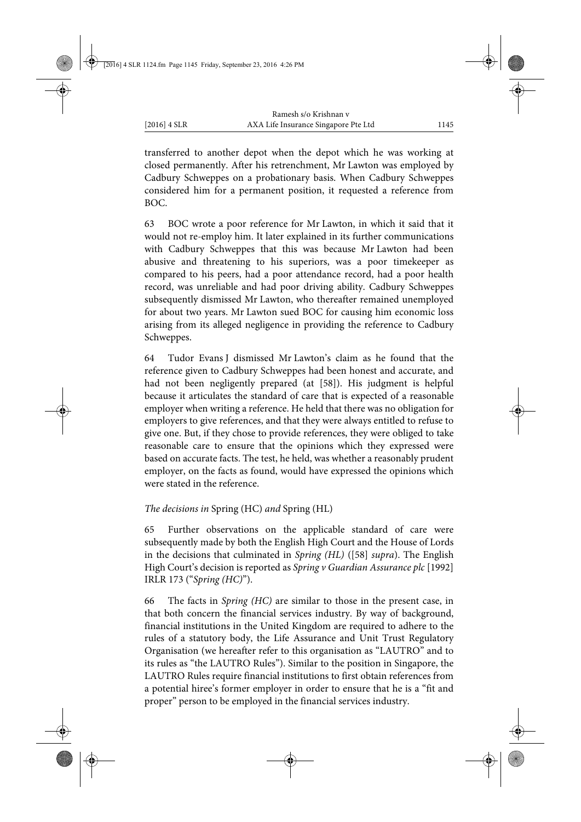transferred to another depot when the depot which he was working at closed permanently. After his retrenchment, Mr Lawton was employed by Cadbury Schweppes on a probationary basis. When Cadbury Schweppes considered him for a permanent position, it requested a reference from BOC.

63 BOC wrote a poor reference for Mr Lawton, in which it said that it would not re-employ him. It later explained in its further communications with Cadbury Schweppes that this was because Mr Lawton had been abusive and threatening to his superiors, was a poor timekeeper as compared to his peers, had a poor attendance record, had a poor health record, was unreliable and had poor driving ability. Cadbury Schweppes subsequently dismissed Mr Lawton, who thereafter remained unemployed for about two years. Mr Lawton sued BOC for causing him economic loss arising from its alleged negligence in providing the reference to Cadbury Schweppes.

64 Tudor Evans J dismissed Mr Lawton's claim as he found that the reference given to Cadbury Schweppes had been honest and accurate, and had not been negligently prepared (at [58]). His judgment is helpful because it articulates the standard of care that is expected of a reasonable employer when writing a reference. He held that there was no obligation for employers to give references, and that they were always entitled to refuse to give one. But, if they chose to provide references, they were obliged to take reasonable care to ensure that the opinions which they expressed were based on accurate facts. The test, he held, was whether a reasonably prudent employer, on the facts as found, would have expressed the opinions which were stated in the reference.

*The decisions in* Spring (HC) *and* Spring (HL)

65 Further observations on the applicable standard of care were subsequently made by both the English High Court and the House of Lords in the decisions that culminated in *Spring (HL)* ([58] *supra*). The English High Court's decision is reported as *Spring v Guardian Assurance plc* [1992] IRLR 173 ("*Spring (HC)*").

66 The facts in *Spring (HC)* are similar to those in the present case, in that both concern the financial services industry. By way of background, financial institutions in the United Kingdom are required to adhere to the rules of a statutory body, the Life Assurance and Unit Trust Regulatory Organisation (we hereafter refer to this organisation as "LAUTRO" and to its rules as "the LAUTRO Rules"). Similar to the position in Singapore, the LAUTRO Rules require financial institutions to first obtain references from a potential hiree's former employer in order to ensure that he is a "fit and proper" person to be employed in the financial services industry.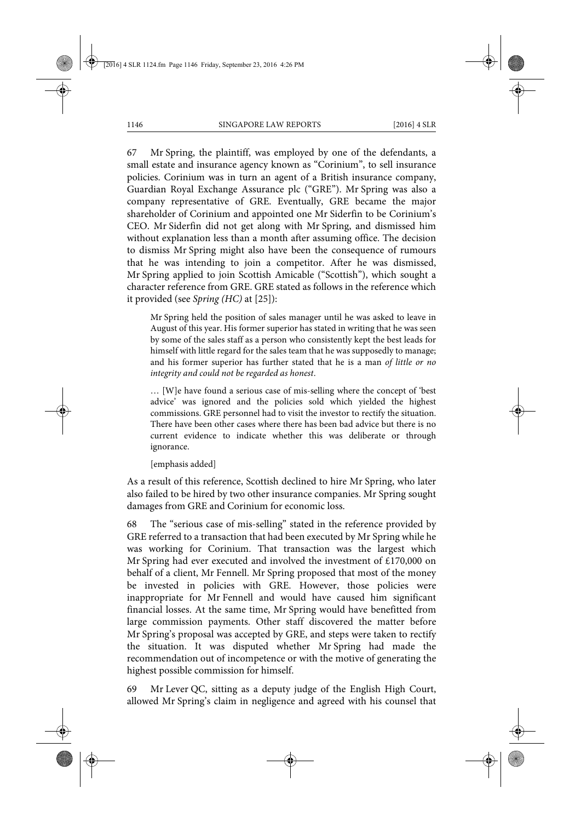67 Mr Spring, the plaintiff, was employed by one of the defendants, a small estate and insurance agency known as "Corinium", to sell insurance policies. Corinium was in turn an agent of a British insurance company, Guardian Royal Exchange Assurance plc ("GRE"). Mr Spring was also a company representative of GRE. Eventually, GRE became the major shareholder of Corinium and appointed one Mr Siderfin to be Corinium's CEO. Mr Siderfin did not get along with Mr Spring, and dismissed him without explanation less than a month after assuming office. The decision to dismiss Mr Spring might also have been the consequence of rumours that he was intending to join a competitor. After he was dismissed, Mr Spring applied to join Scottish Amicable ("Scottish"), which sought a character reference from GRE. GRE stated as follows in the reference which it provided (see *Spring (HC)* at [25]):

Mr Spring held the position of sales manager until he was asked to leave in August of this year. His former superior has stated in writing that he was seen by some of the sales staff as a person who consistently kept the best leads for himself with little regard for the sales team that he was supposedly to manage; and his former superior has further stated that he is a man *of little or no integrity and could not be regarded as honest*.

… [W]e have found a serious case of mis-selling where the concept of 'best advice' was ignored and the policies sold which yielded the highest commissions. GRE personnel had to visit the investor to rectify the situation. There have been other cases where there has been bad advice but there is no current evidence to indicate whether this was deliberate or through ignorance.

[emphasis added]

As a result of this reference, Scottish declined to hire Mr Spring, who later also failed to be hired by two other insurance companies. Mr Spring sought damages from GRE and Corinium for economic loss.

68 The "serious case of mis-selling" stated in the reference provided by GRE referred to a transaction that had been executed by Mr Spring while he was working for Corinium. That transaction was the largest which Mr Spring had ever executed and involved the investment of £170,000 on behalf of a client, Mr Fennell. Mr Spring proposed that most of the money be invested in policies with GRE. However, those policies were inappropriate for Mr Fennell and would have caused him significant financial losses. At the same time, Mr Spring would have benefitted from large commission payments. Other staff discovered the matter before Mr Spring's proposal was accepted by GRE, and steps were taken to rectify the situation. It was disputed whether Mr Spring had made the recommendation out of incompetence or with the motive of generating the highest possible commission for himself.

69 Mr Lever QC, sitting as a deputy judge of the English High Court, allowed Mr Spring's claim in negligence and agreed with his counsel that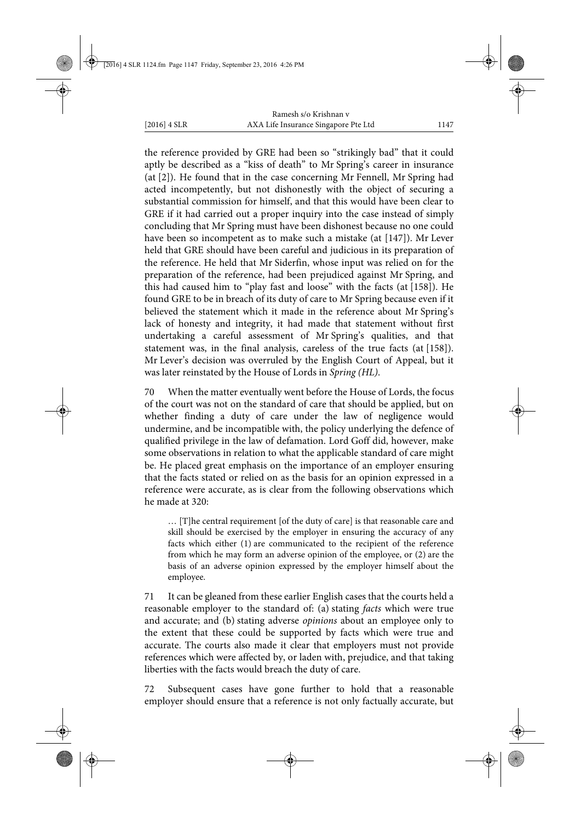the reference provided by GRE had been so "strikingly bad" that it could aptly be described as a "kiss of death" to Mr Spring's career in insurance (at [2]). He found that in the case concerning Mr Fennell, Mr Spring had acted incompetently, but not dishonestly with the object of securing a substantial commission for himself, and that this would have been clear to GRE if it had carried out a proper inquiry into the case instead of simply concluding that Mr Spring must have been dishonest because no one could have been so incompetent as to make such a mistake (at [147]). Mr Lever held that GRE should have been careful and judicious in its preparation of the reference. He held that Mr Siderfin, whose input was relied on for the preparation of the reference, had been prejudiced against Mr Spring, and this had caused him to "play fast and loose" with the facts (at [158]). He found GRE to be in breach of its duty of care to Mr Spring because even if it believed the statement which it made in the reference about Mr Spring's lack of honesty and integrity, it had made that statement without first undertaking a careful assessment of Mr Spring's qualities, and that statement was, in the final analysis, careless of the true facts (at [158]). Mr Lever's decision was overruled by the English Court of Appeal, but it was later reinstated by the House of Lords in *Spring (HL)*.

70 When the matter eventually went before the House of Lords, the focus of the court was not on the standard of care that should be applied, but on whether finding a duty of care under the law of negligence would undermine, and be incompatible with, the policy underlying the defence of qualified privilege in the law of defamation. Lord Goff did, however, make some observations in relation to what the applicable standard of care might be. He placed great emphasis on the importance of an employer ensuring that the facts stated or relied on as the basis for an opinion expressed in a reference were accurate, as is clear from the following observations which he made at 320:

… [T]he central requirement [of the duty of care] is that reasonable care and skill should be exercised by the employer in ensuring the accuracy of any facts which either (1) are communicated to the recipient of the reference from which he may form an adverse opinion of the employee, or (2) are the basis of an adverse opinion expressed by the employer himself about the employee.

71 It can be gleaned from these earlier English cases that the courts held a reasonable employer to the standard of: (a) stating *facts* which were true and accurate; and (b) stating adverse *opinions* about an employee only to the extent that these could be supported by facts which were true and accurate. The courts also made it clear that employers must not provide references which were affected by, or laden with, prejudice, and that taking liberties with the facts would breach the duty of care.

72 Subsequent cases have gone further to hold that a reasonable employer should ensure that a reference is not only factually accurate, but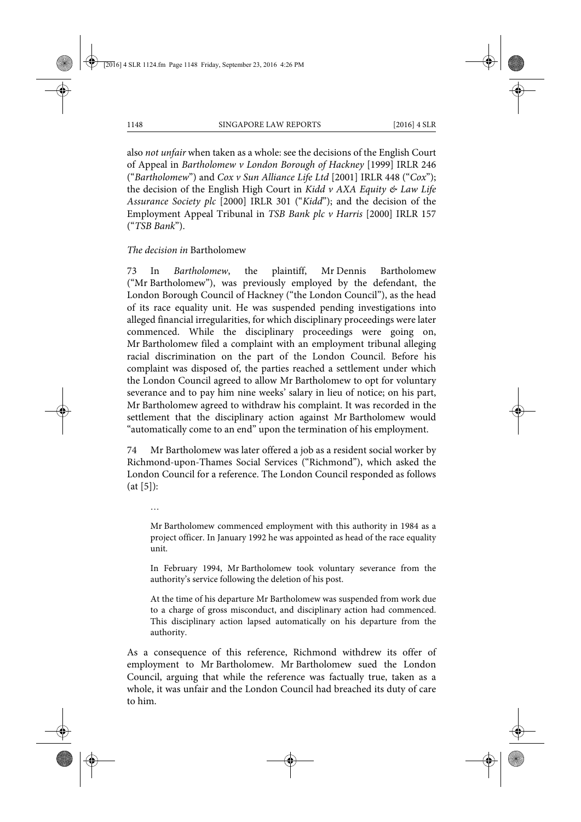also *not unfair* when taken as a whole: see the decisions of the English Court of Appeal in *Bartholomew v London Borough of Hackney* [1999] IRLR 246 ("*Bartholomew*") and *Cox v Sun Alliance Life Ltd* [2001] IRLR 448 ("*Cox*"); the decision of the English High Court in *Kidd v AXA Equity & Law Life Assurance Society plc* [2000] IRLR 301 ("*Kidd*"); and the decision of the Employment Appeal Tribunal in *TSB Bank plc v Harris* [2000] IRLR 157 ("*TSB Bank*").

*The decision in* Bartholomew

73 In *Bartholomew*, the plaintiff, Mr Dennis Bartholomew ("Mr Bartholomew"), was previously employed by the defendant, the London Borough Council of Hackney ("the London Council"), as the head of its race equality unit. He was suspended pending investigations into alleged financial irregularities, for which disciplinary proceedings were later commenced. While the disciplinary proceedings were going on, Mr Bartholomew filed a complaint with an employment tribunal alleging racial discrimination on the part of the London Council. Before his complaint was disposed of, the parties reached a settlement under which the London Council agreed to allow Mr Bartholomew to opt for voluntary severance and to pay him nine weeks' salary in lieu of notice; on his part, Mr Bartholomew agreed to withdraw his complaint. It was recorded in the settlement that the disciplinary action against Mr Bartholomew would "automatically come to an end" upon the termination of his employment.

74 Mr Bartholomew was later offered a job as a resident social worker by Richmond-upon-Thames Social Services ("Richmond"), which asked the London Council for a reference. The London Council responded as follows (at [5]):

…

Mr Bartholomew commenced employment with this authority in 1984 as a project officer. In January 1992 he was appointed as head of the race equality unit.

In February 1994, Mr Bartholomew took voluntary severance from the authority's service following the deletion of his post.

At the time of his departure Mr Bartholomew was suspended from work due to a charge of gross misconduct, and disciplinary action had commenced. This disciplinary action lapsed automatically on his departure from the authority.

As a consequence of this reference, Richmond withdrew its offer of employment to Mr Bartholomew. Mr Bartholomew sued the London Council, arguing that while the reference was factually true, taken as a whole, it was unfair and the London Council had breached its duty of care to him.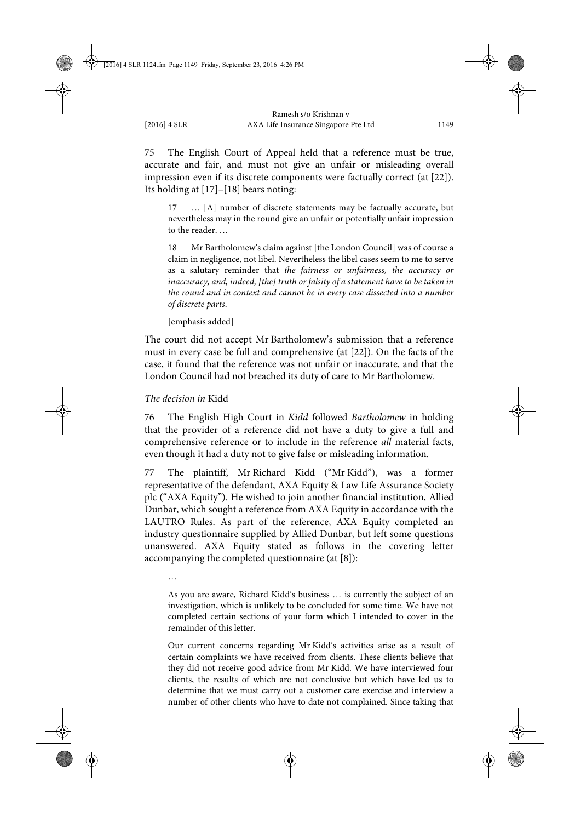75 The English Court of Appeal held that a reference must be true, accurate and fair, and must not give an unfair or misleading overall impression even if its discrete components were factually correct (at [22]). Its holding at [17]–[18] bears noting:

17 … [A] number of discrete statements may be factually accurate, but nevertheless may in the round give an unfair or potentially unfair impression to the reader. …

18 Mr Bartholomew's claim against [the London Council] was of course a claim in negligence, not libel. Nevertheless the libel cases seem to me to serve as a salutary reminder that *the fairness or unfairness, the accuracy or inaccuracy, and, indeed, [the] truth or falsity of a statement have to be taken in the round and in context and cannot be in every case dissected into a number of discrete parts*.

[emphasis added]

The court did not accept Mr Bartholomew's submission that a reference must in every case be full and comprehensive (at [22]). On the facts of the case, it found that the reference was not unfair or inaccurate, and that the London Council had not breached its duty of care to Mr Bartholomew.

#### *The decision in* Kidd

76 The English High Court in *Kidd* followed *Bartholomew* in holding that the provider of a reference did not have a duty to give a full and comprehensive reference or to include in the reference *all* material facts, even though it had a duty not to give false or misleading information.

77 The plaintiff, Mr Richard Kidd ("Mr Kidd"), was a former representative of the defendant, AXA Equity & Law Life Assurance Society plc ("AXA Equity"). He wished to join another financial institution, Allied Dunbar, which sought a reference from AXA Equity in accordance with the LAUTRO Rules. As part of the reference, AXA Equity completed an industry questionnaire supplied by Allied Dunbar, but left some questions unanswered. AXA Equity stated as follows in the covering letter accompanying the completed questionnaire (at [8]):

…

As you are aware, Richard Kidd's business … is currently the subject of an investigation, which is unlikely to be concluded for some time. We have not completed certain sections of your form which I intended to cover in the remainder of this letter.

Our current concerns regarding Mr Kidd's activities arise as a result of certain complaints we have received from clients. These clients believe that they did not receive good advice from Mr Kidd. We have interviewed four clients, the results of which are not conclusive but which have led us to determine that we must carry out a customer care exercise and interview a number of other clients who have to date not complained. Since taking that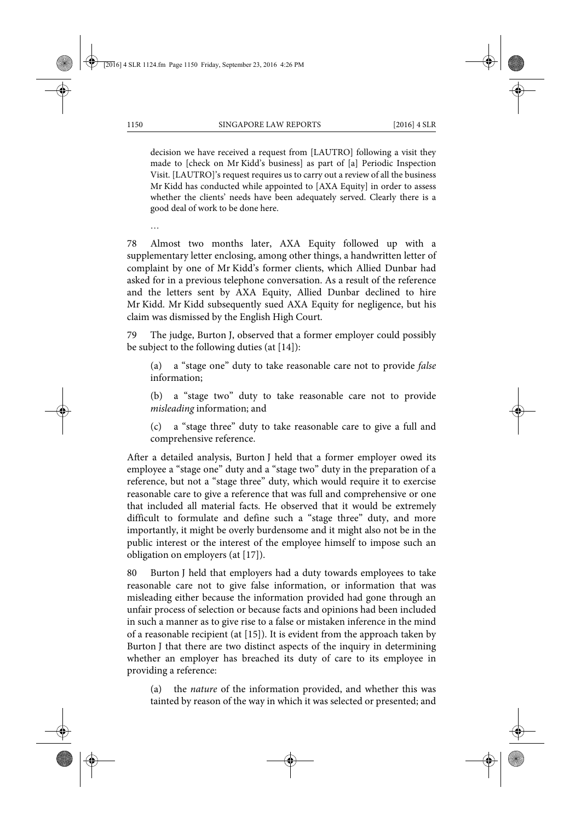decision we have received a request from [LAUTRO] following a visit they made to [check on Mr Kidd's business] as part of [a] Periodic Inspection Visit. [LAUTRO]'s request requires us to carry out a review of all the business Mr Kidd has conducted while appointed to [AXA Equity] in order to assess whether the clients' needs have been adequately served. Clearly there is a good deal of work to be done here.

…

78 Almost two months later, AXA Equity followed up with a supplementary letter enclosing, among other things, a handwritten letter of complaint by one of Mr Kidd's former clients, which Allied Dunbar had asked for in a previous telephone conversation. As a result of the reference and the letters sent by AXA Equity, Allied Dunbar declined to hire Mr Kidd. Mr Kidd subsequently sued AXA Equity for negligence, but his claim was dismissed by the English High Court.

79 The judge, Burton J, observed that a former employer could possibly be subject to the following duties (at [14]):

(a) a "stage one" duty to take reasonable care not to provide *false* information;

(b) a "stage two" duty to take reasonable care not to provide *misleading* information; and

(c) a "stage three" duty to take reasonable care to give a full and comprehensive reference.

After a detailed analysis, Burton J held that a former employer owed its employee a "stage one" duty and a "stage two" duty in the preparation of a reference, but not a "stage three" duty, which would require it to exercise reasonable care to give a reference that was full and comprehensive or one that included all material facts. He observed that it would be extremely difficult to formulate and define such a "stage three" duty, and more importantly, it might be overly burdensome and it might also not be in the public interest or the interest of the employee himself to impose such an obligation on employers (at [17]).

80 Burton J held that employers had a duty towards employees to take reasonable care not to give false information, or information that was misleading either because the information provided had gone through an unfair process of selection or because facts and opinions had been included in such a manner as to give rise to a false or mistaken inference in the mind of a reasonable recipient (at [15]). It is evident from the approach taken by Burton J that there are two distinct aspects of the inquiry in determining whether an employer has breached its duty of care to its employee in providing a reference:

(a) the *nature* of the information provided, and whether this was tainted by reason of the way in which it was selected or presented; and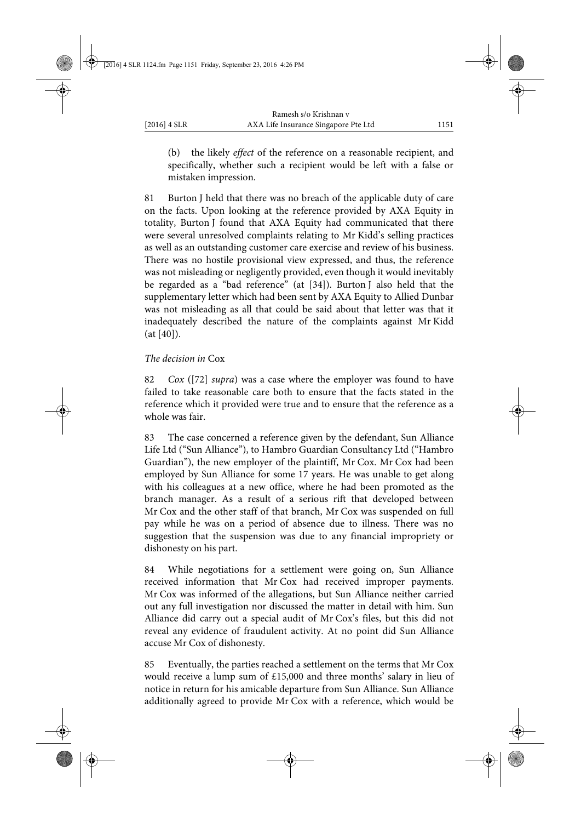(b) the likely *effect* of the reference on a reasonable recipient, and specifically, whether such a recipient would be left with a false or mistaken impression.

81 Burton J held that there was no breach of the applicable duty of care on the facts. Upon looking at the reference provided by AXA Equity in totality, Burton J found that AXA Equity had communicated that there were several unresolved complaints relating to Mr Kidd's selling practices as well as an outstanding customer care exercise and review of his business. There was no hostile provisional view expressed, and thus, the reference was not misleading or negligently provided, even though it would inevitably be regarded as a "bad reference" (at [34]). Burton J also held that the supplementary letter which had been sent by AXA Equity to Allied Dunbar was not misleading as all that could be said about that letter was that it inadequately described the nature of the complaints against Mr Kidd (at [40]).

### *The decision in* Cox

82 *Cox* ([72] *supra*) was a case where the employer was found to have failed to take reasonable care both to ensure that the facts stated in the reference which it provided were true and to ensure that the reference as a whole was fair.

83 The case concerned a reference given by the defendant, Sun Alliance Life Ltd ("Sun Alliance"), to Hambro Guardian Consultancy Ltd ("Hambro Guardian"), the new employer of the plaintiff, Mr Cox. Mr Cox had been employed by Sun Alliance for some 17 years. He was unable to get along with his colleagues at a new office, where he had been promoted as the branch manager. As a result of a serious rift that developed between Mr Cox and the other staff of that branch, Mr Cox was suspended on full pay while he was on a period of absence due to illness. There was no suggestion that the suspension was due to any financial impropriety or dishonesty on his part.

84 While negotiations for a settlement were going on, Sun Alliance received information that Mr Cox had received improper payments. Mr Cox was informed of the allegations, but Sun Alliance neither carried out any full investigation nor discussed the matter in detail with him. Sun Alliance did carry out a special audit of Mr Cox's files, but this did not reveal any evidence of fraudulent activity. At no point did Sun Alliance accuse Mr Cox of dishonesty.

85 Eventually, the parties reached a settlement on the terms that Mr Cox would receive a lump sum of £15,000 and three months' salary in lieu of notice in return for his amicable departure from Sun Alliance. Sun Alliance additionally agreed to provide Mr Cox with a reference, which would be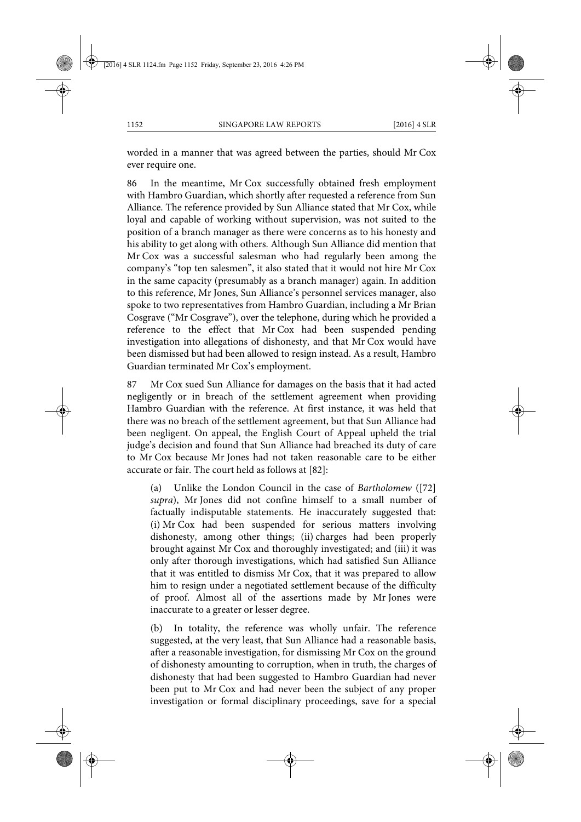worded in a manner that was agreed between the parties, should Mr Cox ever require one.

86 In the meantime, Mr Cox successfully obtained fresh employment with Hambro Guardian, which shortly after requested a reference from Sun Alliance. The reference provided by Sun Alliance stated that Mr Cox, while loyal and capable of working without supervision, was not suited to the position of a branch manager as there were concerns as to his honesty and his ability to get along with others. Although Sun Alliance did mention that Mr Cox was a successful salesman who had regularly been among the company's "top ten salesmen", it also stated that it would not hire Mr Cox in the same capacity (presumably as a branch manager) again. In addition to this reference, Mr Jones, Sun Alliance's personnel services manager, also spoke to two representatives from Hambro Guardian, including a Mr Brian Cosgrave ("Mr Cosgrave"), over the telephone, during which he provided a reference to the effect that Mr Cox had been suspended pending investigation into allegations of dishonesty, and that Mr Cox would have been dismissed but had been allowed to resign instead. As a result, Hambro Guardian terminated Mr Cox's employment.

87 Mr Cox sued Sun Alliance for damages on the basis that it had acted negligently or in breach of the settlement agreement when providing Hambro Guardian with the reference. At first instance, it was held that there was no breach of the settlement agreement, but that Sun Alliance had been negligent. On appeal, the English Court of Appeal upheld the trial judge's decision and found that Sun Alliance had breached its duty of care to Mr Cox because Mr Jones had not taken reasonable care to be either accurate or fair. The court held as follows at [82]:

(a) Unlike the London Council in the case of *Bartholomew* ([72] *supra*), Mr Jones did not confine himself to a small number of factually indisputable statements. He inaccurately suggested that: (i) Mr Cox had been suspended for serious matters involving dishonesty, among other things; (ii) charges had been properly brought against Mr Cox and thoroughly investigated; and (iii) it was only after thorough investigations, which had satisfied Sun Alliance that it was entitled to dismiss Mr Cox, that it was prepared to allow him to resign under a negotiated settlement because of the difficulty of proof. Almost all of the assertions made by Mr Jones were inaccurate to a greater or lesser degree.

(b) In totality, the reference was wholly unfair. The reference suggested, at the very least, that Sun Alliance had a reasonable basis, after a reasonable investigation, for dismissing Mr Cox on the ground of dishonesty amounting to corruption, when in truth, the charges of dishonesty that had been suggested to Hambro Guardian had never been put to Mr Cox and had never been the subject of any proper investigation or formal disciplinary proceedings, save for a special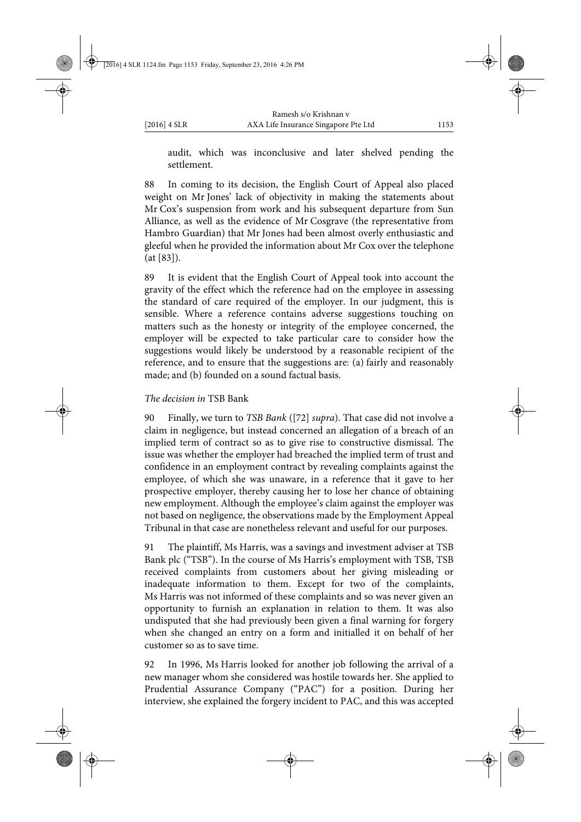audit, which was inconclusive and later shelved pending the settlement.

88 In coming to its decision, the English Court of Appeal also placed weight on Mr Jones' lack of objectivity in making the statements about Mr Cox's suspension from work and his subsequent departure from Sun Alliance, as well as the evidence of Mr Cosgrave (the representative from Hambro Guardian) that Mr Jones had been almost overly enthusiastic and gleeful when he provided the information about Mr Cox over the telephone (at [83]).

89 It is evident that the English Court of Appeal took into account the gravity of the effect which the reference had on the employee in assessing the standard of care required of the employer. In our judgment, this is sensible. Where a reference contains adverse suggestions touching on matters such as the honesty or integrity of the employee concerned, the employer will be expected to take particular care to consider how the suggestions would likely be understood by a reasonable recipient of the reference, and to ensure that the suggestions are: (a) fairly and reasonably made; and (b) founded on a sound factual basis.

### *The decision in* TSB Bank

90 Finally, we turn to *TSB Bank* ([72] *supra*). That case did not involve a claim in negligence, but instead concerned an allegation of a breach of an implied term of contract so as to give rise to constructive dismissal. The issue was whether the employer had breached the implied term of trust and confidence in an employment contract by revealing complaints against the employee, of which she was unaware, in a reference that it gave to her prospective employer, thereby causing her to lose her chance of obtaining new employment. Although the employee's claim against the employer was not based on negligence, the observations made by the Employment Appeal Tribunal in that case are nonetheless relevant and useful for our purposes.

91 The plaintiff, Ms Harris, was a savings and investment adviser at TSB Bank plc ("TSB"). In the course of Ms Harris's employment with TSB, TSB received complaints from customers about her giving misleading or inadequate information to them. Except for two of the complaints, Ms Harris was not informed of these complaints and so was never given an opportunity to furnish an explanation in relation to them. It was also undisputed that she had previously been given a final warning for forgery when she changed an entry on a form and initialled it on behalf of her customer so as to save time.

92 In 1996, Ms Harris looked for another job following the arrival of a new manager whom she considered was hostile towards her. She applied to Prudential Assurance Company ("PAC") for a position. During her interview, she explained the forgery incident to PAC, and this was accepted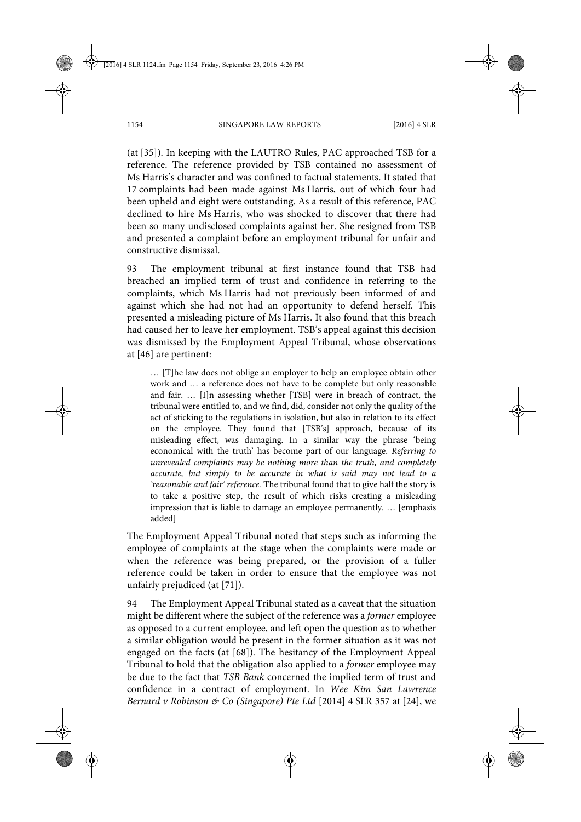(at [35]). In keeping with the LAUTRO Rules, PAC approached TSB for a reference. The reference provided by TSB contained no assessment of Ms Harris's character and was confined to factual statements. It stated that 17 complaints had been made against Ms Harris, out of which four had been upheld and eight were outstanding. As a result of this reference, PAC declined to hire Ms Harris, who was shocked to discover that there had been so many undisclosed complaints against her. She resigned from TSB and presented a complaint before an employment tribunal for unfair and constructive dismissal.

93 The employment tribunal at first instance found that TSB had breached an implied term of trust and confidence in referring to the complaints, which Ms Harris had not previously been informed of and against which she had not had an opportunity to defend herself. This presented a misleading picture of Ms Harris. It also found that this breach had caused her to leave her employment. TSB's appeal against this decision was dismissed by the Employment Appeal Tribunal, whose observations at [46] are pertinent:

… [T]he law does not oblige an employer to help an employee obtain other work and … a reference does not have to be complete but only reasonable and fair. … [I]n assessing whether [TSB] were in breach of contract, the tribunal were entitled to, and we find, did, consider not only the quality of the act of sticking to the regulations in isolation, but also in relation to its effect on the employee. They found that [TSB's] approach, because of its misleading effect, was damaging. In a similar way the phrase 'being economical with the truth' has become part of our language. *Referring to unrevealed complaints may be nothing more than the truth, and completely accurate, but simply to be accurate in what is said may not lead to a 'reasonable and fair' reference.* The tribunal found that to give half the story is to take a positive step, the result of which risks creating a misleading impression that is liable to damage an employee permanently. … [emphasis added]

The Employment Appeal Tribunal noted that steps such as informing the employee of complaints at the stage when the complaints were made or when the reference was being prepared, or the provision of a fuller reference could be taken in order to ensure that the employee was not unfairly prejudiced (at [71]).

94 The Employment Appeal Tribunal stated as a caveat that the situation might be different where the subject of the reference was a *former* employee as opposed to a current employee, and left open the question as to whether a similar obligation would be present in the former situation as it was not engaged on the facts (at [68]). The hesitancy of the Employment Appeal Tribunal to hold that the obligation also applied to a *former* employee may be due to the fact that *TSB Bank* concerned the implied term of trust and confidence in a contract of employment. In *Wee Kim San Lawrence Bernard v Robinson & Co (Singapore) Pte Ltd* [2014] 4 SLR 357 at [24], we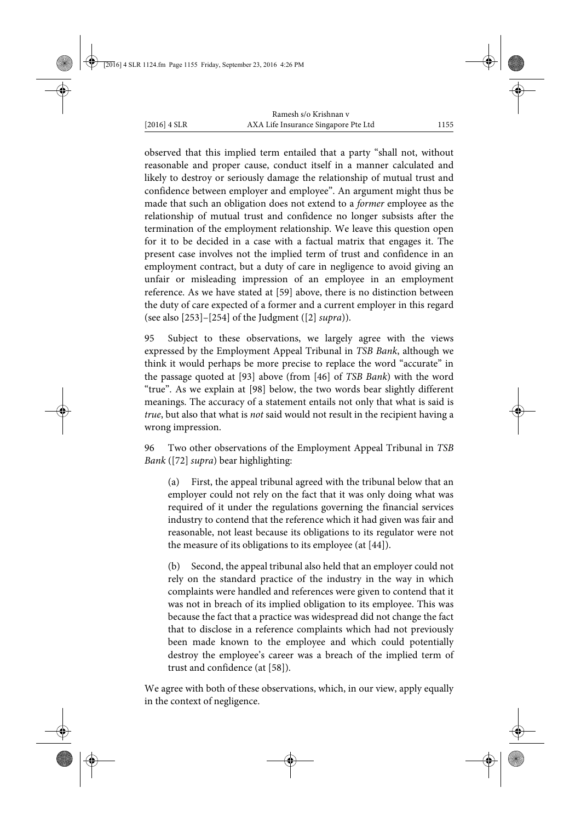observed that this implied term entailed that a party "shall not, without reasonable and proper cause, conduct itself in a manner calculated and likely to destroy or seriously damage the relationship of mutual trust and confidence between employer and employee". An argument might thus be made that such an obligation does not extend to a *former* employee as the relationship of mutual trust and confidence no longer subsists after the termination of the employment relationship. We leave this question open for it to be decided in a case with a factual matrix that engages it. The present case involves not the implied term of trust and confidence in an employment contract, but a duty of care in negligence to avoid giving an unfair or misleading impression of an employee in an employment reference. As we have stated at [59] above, there is no distinction between the duty of care expected of a former and a current employer in this regard (see also [253]–[254] of the Judgment ([2] *supra*)).

95 Subject to these observations, we largely agree with the views expressed by the Employment Appeal Tribunal in *TSB Bank*, although we think it would perhaps be more precise to replace the word "accurate" in the passage quoted at [93] above (from [46] of *TSB Bank*) with the word "true". As we explain at [98] below, the two words bear slightly different meanings. The accuracy of a statement entails not only that what is said is *true*, but also that what is *not* said would not result in the recipient having a wrong impression.

96 Two other observations of the Employment Appeal Tribunal in *TSB Bank* ([72] *supra*) bear highlighting:

(a) First, the appeal tribunal agreed with the tribunal below that an employer could not rely on the fact that it was only doing what was required of it under the regulations governing the financial services industry to contend that the reference which it had given was fair and reasonable, not least because its obligations to its regulator were not the measure of its obligations to its employee (at [44]).

(b) Second, the appeal tribunal also held that an employer could not rely on the standard practice of the industry in the way in which complaints were handled and references were given to contend that it was not in breach of its implied obligation to its employee. This was because the fact that a practice was widespread did not change the fact that to disclose in a reference complaints which had not previously been made known to the employee and which could potentially destroy the employee's career was a breach of the implied term of trust and confidence (at [58]).

We agree with both of these observations, which, in our view, apply equally in the context of negligence.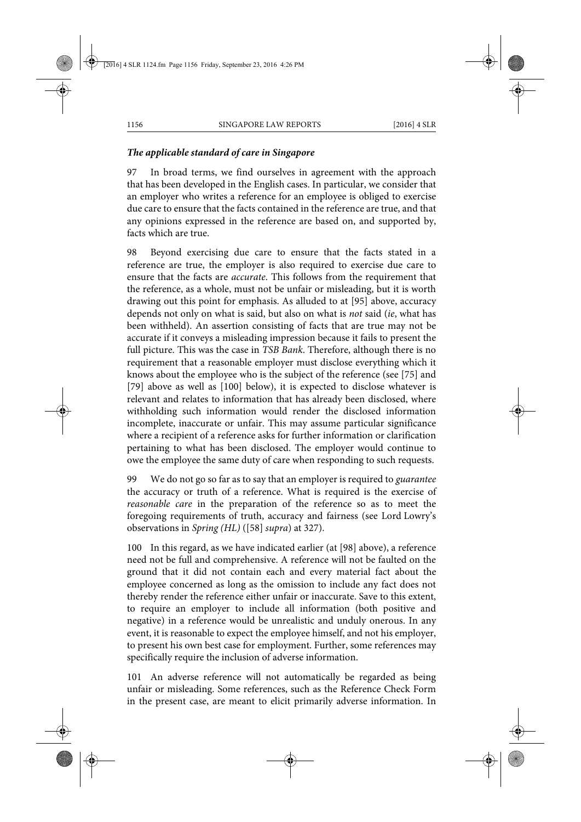# *The applicable standard of care in Singapore*

97 In broad terms, we find ourselves in agreement with the approach that has been developed in the English cases. In particular, we consider that an employer who writes a reference for an employee is obliged to exercise due care to ensure that the facts contained in the reference are true, and that any opinions expressed in the reference are based on, and supported by, facts which are true.

98 Beyond exercising due care to ensure that the facts stated in a reference are true, the employer is also required to exercise due care to ensure that the facts are *accurate*. This follows from the requirement that the reference, as a whole, must not be unfair or misleading, but it is worth drawing out this point for emphasis. As alluded to at [95] above, accuracy depends not only on what is said, but also on what is *not* said (*ie*, what has been withheld). An assertion consisting of facts that are true may not be accurate if it conveys a misleading impression because it fails to present the full picture. This was the case in *TSB Bank*. Therefore, although there is no requirement that a reasonable employer must disclose everything which it knows about the employee who is the subject of the reference (see [75] and [79] above as well as [100] below), it is expected to disclose whatever is relevant and relates to information that has already been disclosed, where withholding such information would render the disclosed information incomplete, inaccurate or unfair. This may assume particular significance where a recipient of a reference asks for further information or clarification pertaining to what has been disclosed. The employer would continue to owe the employee the same duty of care when responding to such requests.

99 We do not go so far as to say that an employer is required to *guarantee* the accuracy or truth of a reference. What is required is the exercise of *reasonable care* in the preparation of the reference so as to meet the foregoing requirements of truth, accuracy and fairness (see Lord Lowry's observations in *Spring (HL)* ([58] *supra*) at 327).

100 In this regard, as we have indicated earlier (at [98] above), a reference need not be full and comprehensive. A reference will not be faulted on the ground that it did not contain each and every material fact about the employee concerned as long as the omission to include any fact does not thereby render the reference either unfair or inaccurate. Save to this extent, to require an employer to include all information (both positive and negative) in a reference would be unrealistic and unduly onerous. In any event, it is reasonable to expect the employee himself, and not his employer, to present his own best case for employment. Further, some references may specifically require the inclusion of adverse information.

101 An adverse reference will not automatically be regarded as being unfair or misleading. Some references, such as the Reference Check Form in the present case, are meant to elicit primarily adverse information. In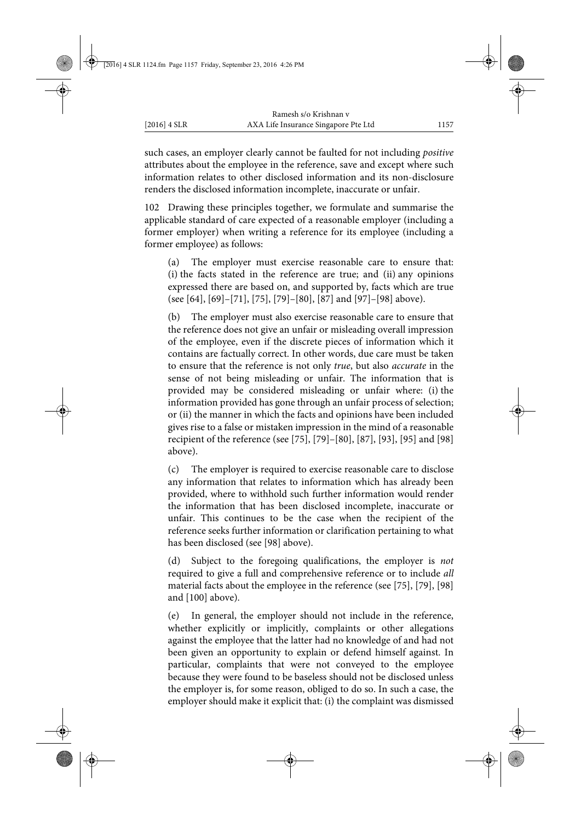such cases, an employer clearly cannot be faulted for not including *positive* attributes about the employee in the reference, save and except where such information relates to other disclosed information and its non-disclosure renders the disclosed information incomplete, inaccurate or unfair.

102 Drawing these principles together, we formulate and summarise the applicable standard of care expected of a reasonable employer (including a former employer) when writing a reference for its employee (including a former employee) as follows:

(a) The employer must exercise reasonable care to ensure that: (i) the facts stated in the reference are true; and (ii) any opinions expressed there are based on, and supported by, facts which are true (see [64], [69]–[71], [75], [79]–[80], [87] and [97]–[98] above).

(b) The employer must also exercise reasonable care to ensure that the reference does not give an unfair or misleading overall impression of the employee, even if the discrete pieces of information which it contains are factually correct. In other words, due care must be taken to ensure that the reference is not only *true*, but also *accurate* in the sense of not being misleading or unfair. The information that is provided may be considered misleading or unfair where: (i) the information provided has gone through an unfair process of selection; or (ii) the manner in which the facts and opinions have been included gives rise to a false or mistaken impression in the mind of a reasonable recipient of the reference (see [75], [79]–[80], [87], [93], [95] and [98] above).

(c) The employer is required to exercise reasonable care to disclose any information that relates to information which has already been provided, where to withhold such further information would render the information that has been disclosed incomplete, inaccurate or unfair. This continues to be the case when the recipient of the reference seeks further information or clarification pertaining to what has been disclosed (see [98] above).

(d) Subject to the foregoing qualifications, the employer is *not* required to give a full and comprehensive reference or to include *all* material facts about the employee in the reference (see [75], [79], [98] and [100] above).

(e) In general, the employer should not include in the reference, whether explicitly or implicitly, complaints or other allegations against the employee that the latter had no knowledge of and had not been given an opportunity to explain or defend himself against. In particular, complaints that were not conveyed to the employee because they were found to be baseless should not be disclosed unless the employer is, for some reason, obliged to do so. In such a case, the employer should make it explicit that: (i) the complaint was dismissed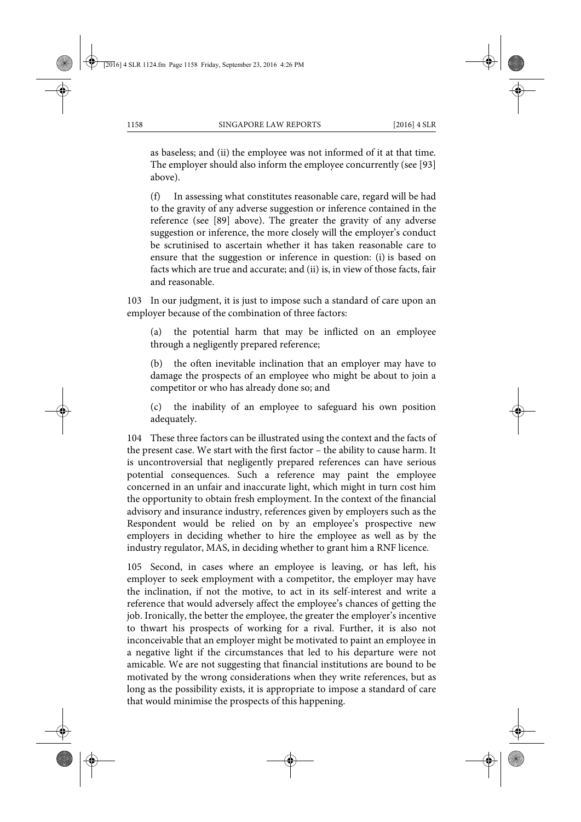as baseless; and (ii) the employee was not informed of it at that time. The employer should also inform the employee concurrently (see [93] above).

(f) In assessing what constitutes reasonable care, regard will be had to the gravity of any adverse suggestion or inference contained in the reference (see [89] above). The greater the gravity of any adverse suggestion or inference, the more closely will the employer's conduct be scrutinised to ascertain whether it has taken reasonable care to ensure that the suggestion or inference in question: (i) is based on facts which are true and accurate; and (ii) is, in view of those facts, fair and reasonable.

103 In our judgment, it is just to impose such a standard of care upon an employer because of the combination of three factors:

(a) the potential harm that may be inflicted on an employee through a negligently prepared reference;

(b) the often inevitable inclination that an employer may have to damage the prospects of an employee who might be about to join a competitor or who has already done so; and

(c) the inability of an employee to safeguard his own position adequately.

104 These three factors can be illustrated using the context and the facts of the present case. We start with the first factor – the ability to cause harm. It is uncontroversial that negligently prepared references can have serious potential consequences. Such a reference may paint the employee concerned in an unfair and inaccurate light, which might in turn cost him the opportunity to obtain fresh employment. In the context of the financial advisory and insurance industry, references given by employers such as the Respondent would be relied on by an employee's prospective new employers in deciding whether to hire the employee as well as by the industry regulator, MAS, in deciding whether to grant him a RNF licence.

105 Second, in cases where an employee is leaving, or has left, his employer to seek employment with a competitor, the employer may have the inclination, if not the motive, to act in its self-interest and write a reference that would adversely affect the employee's chances of getting the job. Ironically, the better the employee, the greater the employer's incentive to thwart his prospects of working for a rival. Further, it is also not inconceivable that an employer might be motivated to paint an employee in a negative light if the circumstances that led to his departure were not amicable. We are not suggesting that financial institutions are bound to be motivated by the wrong considerations when they write references, but as long as the possibility exists, it is appropriate to impose a standard of care that would minimise the prospects of this happening.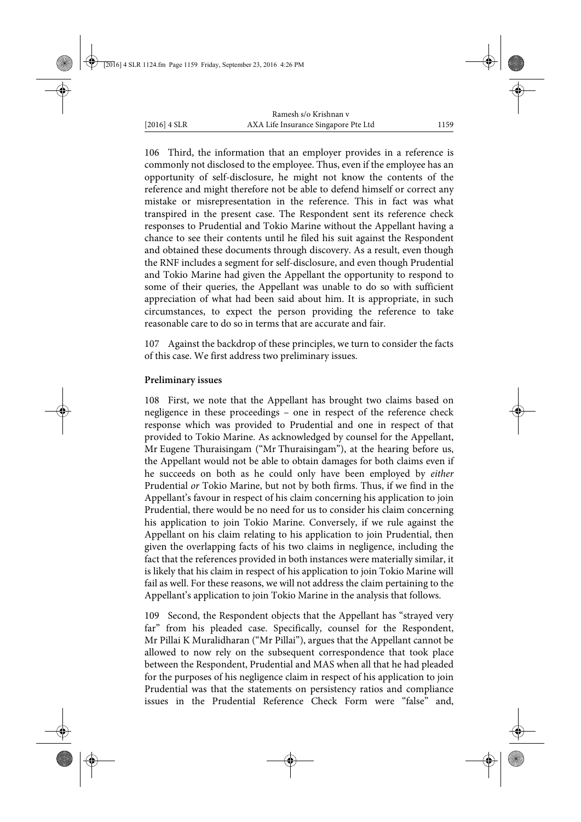106 Third, the information that an employer provides in a reference is commonly not disclosed to the employee. Thus, even if the employee has an opportunity of self-disclosure, he might not know the contents of the reference and might therefore not be able to defend himself or correct any mistake or misrepresentation in the reference. This in fact was what transpired in the present case. The Respondent sent its reference check responses to Prudential and Tokio Marine without the Appellant having a chance to see their contents until he filed his suit against the Respondent and obtained these documents through discovery. As a result, even though the RNF includes a segment for self-disclosure, and even though Prudential and Tokio Marine had given the Appellant the opportunity to respond to some of their queries, the Appellant was unable to do so with sufficient appreciation of what had been said about him. It is appropriate, in such circumstances, to expect the person providing the reference to take reasonable care to do so in terms that are accurate and fair.

107 Against the backdrop of these principles, we turn to consider the facts of this case. We first address two preliminary issues.

### **Preliminary issues**

108 First, we note that the Appellant has brought two claims based on negligence in these proceedings – one in respect of the reference check response which was provided to Prudential and one in respect of that provided to Tokio Marine. As acknowledged by counsel for the Appellant, Mr Eugene Thuraisingam ("Mr Thuraisingam"), at the hearing before us, the Appellant would not be able to obtain damages for both claims even if he succeeds on both as he could only have been employed by *either* Prudential *or* Tokio Marine, but not by both firms. Thus, if we find in the Appellant's favour in respect of his claim concerning his application to join Prudential, there would be no need for us to consider his claim concerning his application to join Tokio Marine. Conversely, if we rule against the Appellant on his claim relating to his application to join Prudential, then given the overlapping facts of his two claims in negligence, including the fact that the references provided in both instances were materially similar, it is likely that his claim in respect of his application to join Tokio Marine will fail as well. For these reasons, we will not address the claim pertaining to the Appellant's application to join Tokio Marine in the analysis that follows.

109 Second, the Respondent objects that the Appellant has "strayed very far" from his pleaded case. Specifically, counsel for the Respondent, Mr Pillai K Muralidharan ("Mr Pillai"), argues that the Appellant cannot be allowed to now rely on the subsequent correspondence that took place between the Respondent, Prudential and MAS when all that he had pleaded for the purposes of his negligence claim in respect of his application to join Prudential was that the statements on persistency ratios and compliance issues in the Prudential Reference Check Form were "false" and,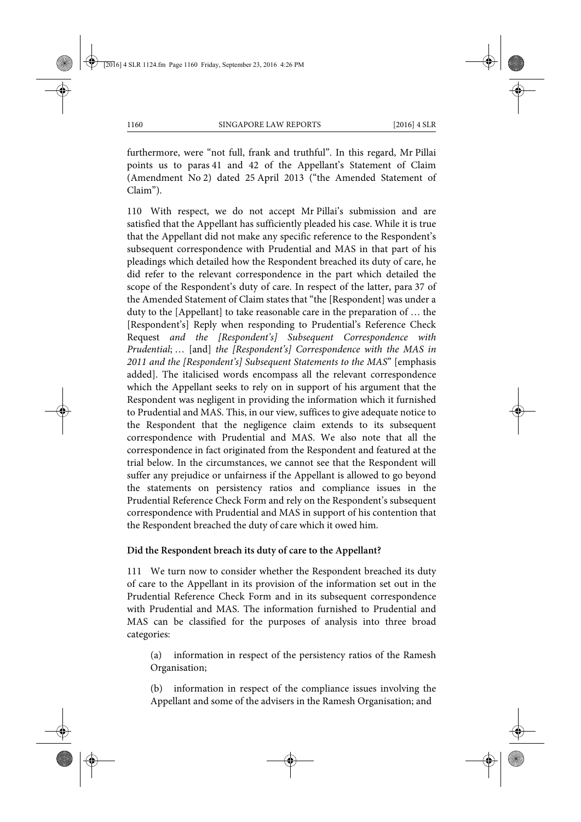furthermore, were "not full, frank and truthful". In this regard, Mr Pillai points us to paras 41 and 42 of the Appellant's Statement of Claim (Amendment No 2) dated 25 April 2013 ("the Amended Statement of Claim").

110 With respect, we do not accept Mr Pillai's submission and are satisfied that the Appellant has sufficiently pleaded his case. While it is true that the Appellant did not make any specific reference to the Respondent's subsequent correspondence with Prudential and MAS in that part of his pleadings which detailed how the Respondent breached its duty of care, he did refer to the relevant correspondence in the part which detailed the scope of the Respondent's duty of care. In respect of the latter, para 37 of the Amended Statement of Claim states that "the [Respondent] was under a duty to the [Appellant] to take reasonable care in the preparation of … the [Respondent's] Reply when responding to Prudential's Reference Check Request *and the [Respondent's] Subsequent Correspondence with Prudential*; … [and] *the [Respondent's] Correspondence with the MAS in 2011 and the [Respondent's] Subsequent Statements to the MAS*" [emphasis added]. The italicised words encompass all the relevant correspondence which the Appellant seeks to rely on in support of his argument that the Respondent was negligent in providing the information which it furnished to Prudential and MAS. This, in our view, suffices to give adequate notice to the Respondent that the negligence claim extends to its subsequent correspondence with Prudential and MAS. We also note that all the correspondence in fact originated from the Respondent and featured at the trial below. In the circumstances, we cannot see that the Respondent will suffer any prejudice or unfairness if the Appellant is allowed to go beyond the statements on persistency ratios and compliance issues in the Prudential Reference Check Form and rely on the Respondent's subsequent correspondence with Prudential and MAS in support of his contention that the Respondent breached the duty of care which it owed him.

#### **Did the Respondent breach its duty of care to the Appellant?**

111 We turn now to consider whether the Respondent breached its duty of care to the Appellant in its provision of the information set out in the Prudential Reference Check Form and in its subsequent correspondence with Prudential and MAS. The information furnished to Prudential and MAS can be classified for the purposes of analysis into three broad categories:

(a) information in respect of the persistency ratios of the Ramesh Organisation;

(b) information in respect of the compliance issues involving the Appellant and some of the advisers in the Ramesh Organisation; and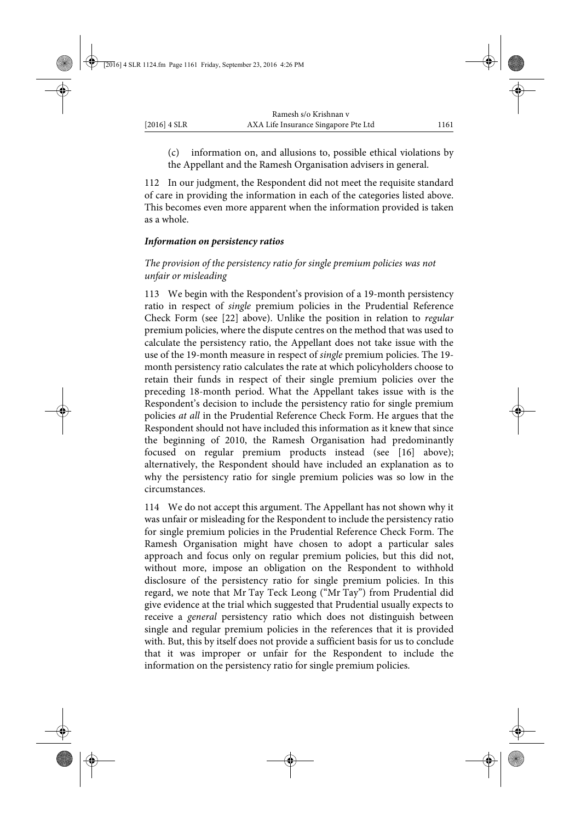(c) information on, and allusions to, possible ethical violations by the Appellant and the Ramesh Organisation advisers in general.

112 In our judgment, the Respondent did not meet the requisite standard of care in providing the information in each of the categories listed above. This becomes even more apparent when the information provided is taken as a whole.

#### *Information on persistency ratios*

# *The provision of the persistency ratio for single premium policies was not unfair or misleading*

113 We begin with the Respondent's provision of a 19-month persistency ratio in respect of *single* premium policies in the Prudential Reference Check Form (see [22] above). Unlike the position in relation to *regular* premium policies, where the dispute centres on the method that was used to calculate the persistency ratio, the Appellant does not take issue with the use of the 19-month measure in respect of *single* premium policies. The 19 month persistency ratio calculates the rate at which policyholders choose to retain their funds in respect of their single premium policies over the preceding 18-month period. What the Appellant takes issue with is the Respondent's decision to include the persistency ratio for single premium policies *at all* in the Prudential Reference Check Form. He argues that the Respondent should not have included this information as it knew that since the beginning of 2010, the Ramesh Organisation had predominantly focused on regular premium products instead (see [16] above); alternatively, the Respondent should have included an explanation as to why the persistency ratio for single premium policies was so low in the circumstances.

114 We do not accept this argument. The Appellant has not shown why it was unfair or misleading for the Respondent to include the persistency ratio for single premium policies in the Prudential Reference Check Form. The Ramesh Organisation might have chosen to adopt a particular sales approach and focus only on regular premium policies, but this did not, without more, impose an obligation on the Respondent to withhold disclosure of the persistency ratio for single premium policies. In this regard, we note that Mr Tay Teck Leong ("Mr Tay") from Prudential did give evidence at the trial which suggested that Prudential usually expects to receive a *general* persistency ratio which does not distinguish between single and regular premium policies in the references that it is provided with. But, this by itself does not provide a sufficient basis for us to conclude that it was improper or unfair for the Respondent to include the information on the persistency ratio for single premium policies.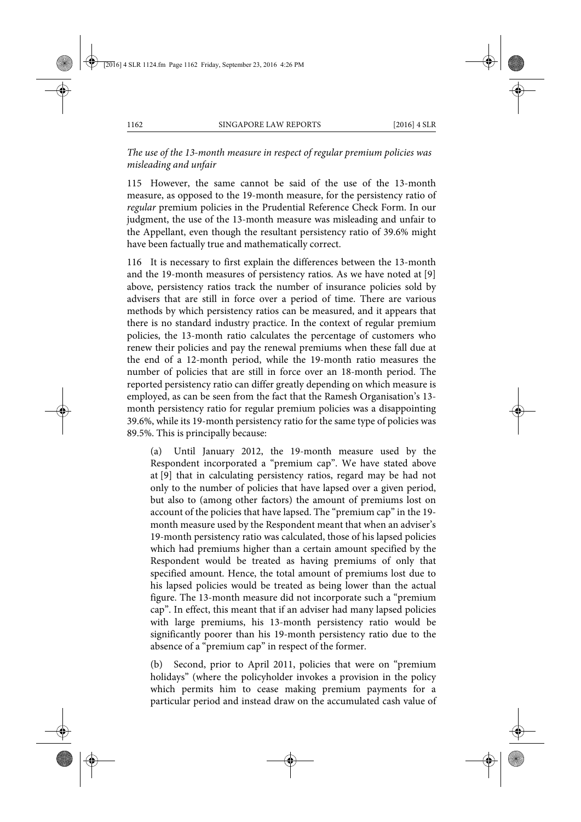*The use of the 13-month measure in respect of regular premium policies was misleading and unfair* 

115 However, the same cannot be said of the use of the 13-month measure, as opposed to the 19-month measure, for the persistency ratio of *regular* premium policies in the Prudential Reference Check Form. In our judgment, the use of the 13-month measure was misleading and unfair to the Appellant, even though the resultant persistency ratio of 39.6% might have been factually true and mathematically correct.

116 It is necessary to first explain the differences between the 13-month and the 19-month measures of persistency ratios. As we have noted at [9] above, persistency ratios track the number of insurance policies sold by advisers that are still in force over a period of time. There are various methods by which persistency ratios can be measured, and it appears that there is no standard industry practice. In the context of regular premium policies, the 13-month ratio calculates the percentage of customers who renew their policies and pay the renewal premiums when these fall due at the end of a 12-month period, while the 19-month ratio measures the number of policies that are still in force over an 18-month period. The reported persistency ratio can differ greatly depending on which measure is employed, as can be seen from the fact that the Ramesh Organisation's 13 month persistency ratio for regular premium policies was a disappointing 39.6%, while its 19-month persistency ratio for the same type of policies was 89.5%. This is principally because:

(a) Until January 2012, the 19-month measure used by the Respondent incorporated a "premium cap". We have stated above at [9] that in calculating persistency ratios, regard may be had not only to the number of policies that have lapsed over a given period, but also to (among other factors) the amount of premiums lost on account of the policies that have lapsed. The "premium cap" in the 19 month measure used by the Respondent meant that when an adviser's 19-month persistency ratio was calculated, those of his lapsed policies which had premiums higher than a certain amount specified by the Respondent would be treated as having premiums of only that specified amount. Hence, the total amount of premiums lost due to his lapsed policies would be treated as being lower than the actual figure. The 13-month measure did not incorporate such a "premium cap". In effect, this meant that if an adviser had many lapsed policies with large premiums, his 13-month persistency ratio would be significantly poorer than his 19-month persistency ratio due to the absence of a "premium cap" in respect of the former.

(b) Second, prior to April 2011, policies that were on "premium holidays" (where the policyholder invokes a provision in the policy which permits him to cease making premium payments for a particular period and instead draw on the accumulated cash value of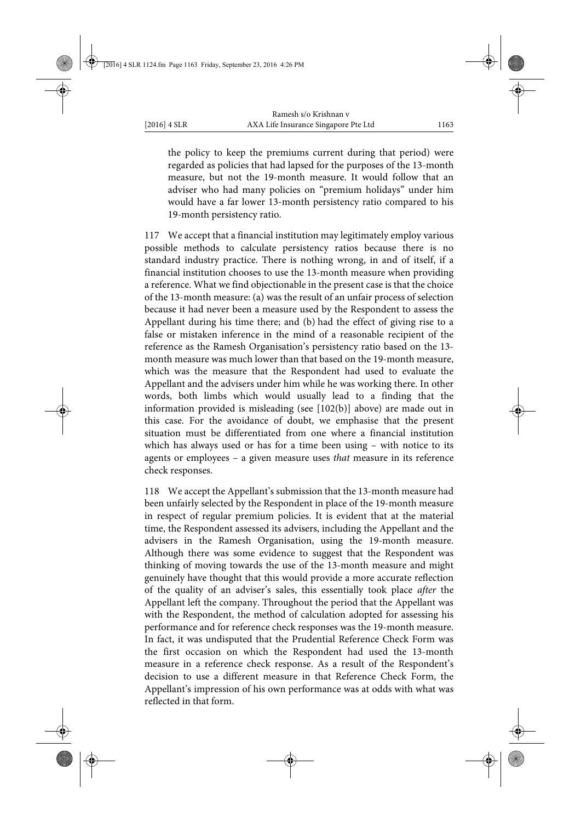the policy to keep the premiums current during that period) were regarded as policies that had lapsed for the purposes of the 13-month measure, but not the 19-month measure. It would follow that an adviser who had many policies on "premium holidays" under him would have a far lower 13-month persistency ratio compared to his 19-month persistency ratio.

117 We accept that a financial institution may legitimately employ various possible methods to calculate persistency ratios because there is no standard industry practice. There is nothing wrong, in and of itself, if a financial institution chooses to use the 13-month measure when providing a reference. What we find objectionable in the present case is that the choice of the 13-month measure: (a) was the result of an unfair process of selection because it had never been a measure used by the Respondent to assess the Appellant during his time there; and (b) had the effect of giving rise to a false or mistaken inference in the mind of a reasonable recipient of the reference as the Ramesh Organisation's persistency ratio based on the 13 month measure was much lower than that based on the 19-month measure, which was the measure that the Respondent had used to evaluate the Appellant and the advisers under him while he was working there. In other words, both limbs which would usually lead to a finding that the information provided is misleading (see [102(b)] above) are made out in this case. For the avoidance of doubt, we emphasise that the present situation must be differentiated from one where a financial institution which has always used or has for a time been using – with notice to its agents or employees – a given measure uses *that* measure in its reference check responses.

118 We accept the Appellant's submission that the 13-month measure had been unfairly selected by the Respondent in place of the 19-month measure in respect of regular premium policies. It is evident that at the material time, the Respondent assessed its advisers, including the Appellant and the advisers in the Ramesh Organisation, using the 19-month measure. Although there was some evidence to suggest that the Respondent was thinking of moving towards the use of the 13-month measure and might genuinely have thought that this would provide a more accurate reflection of the quality of an adviser's sales, this essentially took place *after* the Appellant left the company. Throughout the period that the Appellant was with the Respondent, the method of calculation adopted for assessing his performance and for reference check responses was the 19-month measure. In fact, it was undisputed that the Prudential Reference Check Form was the first occasion on which the Respondent had used the 13-month measure in a reference check response. As a result of the Respondent's decision to use a different measure in that Reference Check Form, the Appellant's impression of his own performance was at odds with what was reflected in that form.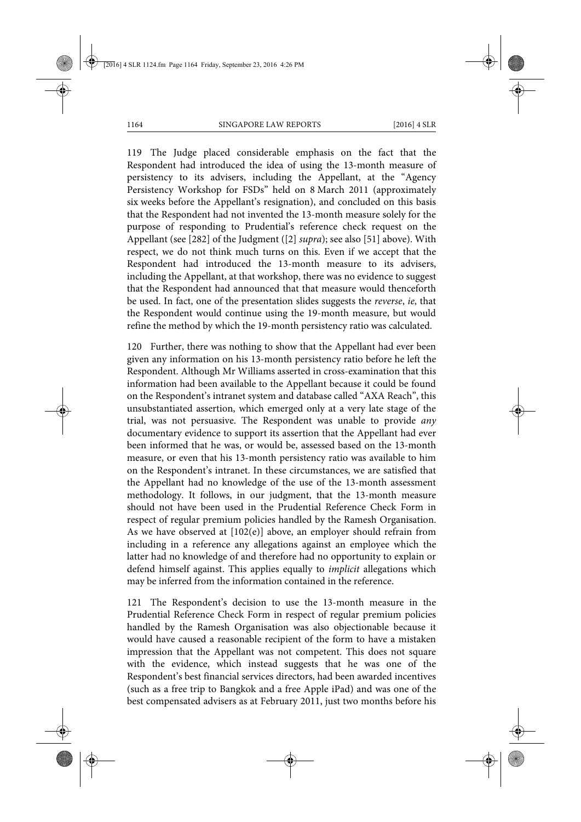119 The Judge placed considerable emphasis on the fact that the Respondent had introduced the idea of using the 13-month measure of persistency to its advisers, including the Appellant, at the "Agency Persistency Workshop for FSDs" held on 8 March 2011 (approximately six weeks before the Appellant's resignation), and concluded on this basis that the Respondent had not invented the 13-month measure solely for the purpose of responding to Prudential's reference check request on the Appellant (see [282] of the Judgment ([2] *supra*); see also [51] above). With respect, we do not think much turns on this. Even if we accept that the Respondent had introduced the 13-month measure to its advisers, including the Appellant, at that workshop, there was no evidence to suggest that the Respondent had announced that that measure would thenceforth be used. In fact, one of the presentation slides suggests the *reverse*, *ie*, that the Respondent would continue using the 19-month measure, but would refine the method by which the 19-month persistency ratio was calculated.

120 Further, there was nothing to show that the Appellant had ever been given any information on his 13-month persistency ratio before he left the Respondent. Although Mr Williams asserted in cross-examination that this information had been available to the Appellant because it could be found on the Respondent's intranet system and database called "AXA Reach", this unsubstantiated assertion, which emerged only at a very late stage of the trial, was not persuasive. The Respondent was unable to provide *any* documentary evidence to support its assertion that the Appellant had ever been informed that he was, or would be, assessed based on the 13-month measure, or even that his 13-month persistency ratio was available to him on the Respondent's intranet. In these circumstances, we are satisfied that the Appellant had no knowledge of the use of the 13-month assessment methodology. It follows, in our judgment, that the 13-month measure should not have been used in the Prudential Reference Check Form in respect of regular premium policies handled by the Ramesh Organisation. As we have observed at [102(e)] above, an employer should refrain from including in a reference any allegations against an employee which the latter had no knowledge of and therefore had no opportunity to explain or defend himself against. This applies equally to *implicit* allegations which may be inferred from the information contained in the reference.

121 The Respondent's decision to use the 13-month measure in the Prudential Reference Check Form in respect of regular premium policies handled by the Ramesh Organisation was also objectionable because it would have caused a reasonable recipient of the form to have a mistaken impression that the Appellant was not competent. This does not square with the evidence, which instead suggests that he was one of the Respondent's best financial services directors, had been awarded incentives (such as a free trip to Bangkok and a free Apple iPad) and was one of the best compensated advisers as at February 2011, just two months before his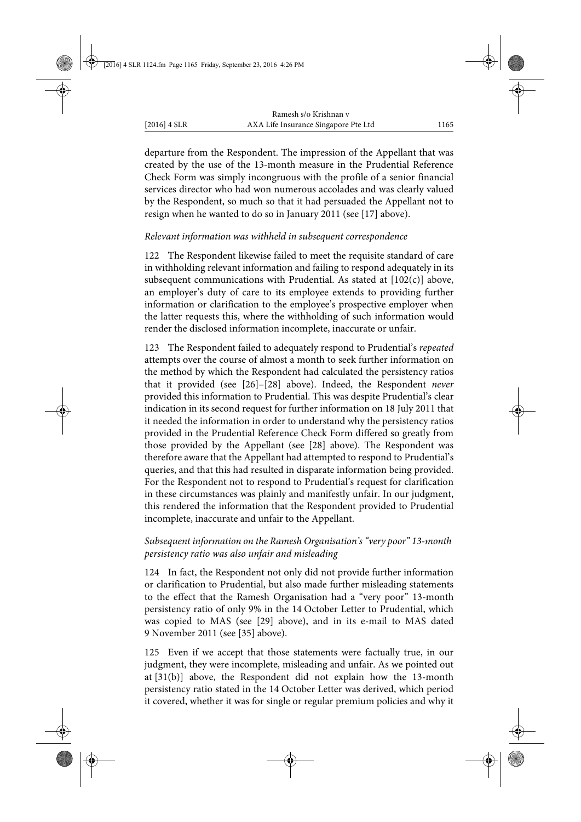departure from the Respondent. The impression of the Appellant that was created by the use of the 13-month measure in the Prudential Reference Check Form was simply incongruous with the profile of a senior financial services director who had won numerous accolades and was clearly valued by the Respondent, so much so that it had persuaded the Appellant not to resign when he wanted to do so in January 2011 (see [17] above).

# *Relevant information was withheld in subsequent correspondence*

122 The Respondent likewise failed to meet the requisite standard of care in withholding relevant information and failing to respond adequately in its subsequent communications with Prudential. As stated at  $[102(c)]$  above, an employer's duty of care to its employee extends to providing further information or clarification to the employee's prospective employer when the latter requests this, where the withholding of such information would render the disclosed information incomplete, inaccurate or unfair.

123 The Respondent failed to adequately respond to Prudential's *repeated* attempts over the course of almost a month to seek further information on the method by which the Respondent had calculated the persistency ratios that it provided (see [26]–[28] above). Indeed, the Respondent *never* provided this information to Prudential. This was despite Prudential's clear indication in its second request for further information on 18 July 2011 that it needed the information in order to understand why the persistency ratios provided in the Prudential Reference Check Form differed so greatly from those provided by the Appellant (see [28] above). The Respondent was therefore aware that the Appellant had attempted to respond to Prudential's queries, and that this had resulted in disparate information being provided. For the Respondent not to respond to Prudential's request for clarification in these circumstances was plainly and manifestly unfair. In our judgment, this rendered the information that the Respondent provided to Prudential incomplete, inaccurate and unfair to the Appellant.

### *Subsequent information on the Ramesh Organisation's "very poor" 13-month persistency ratio was also unfair and misleading*

124 In fact, the Respondent not only did not provide further information or clarification to Prudential, but also made further misleading statements to the effect that the Ramesh Organisation had a "very poor" 13-month persistency ratio of only 9% in the 14 October Letter to Prudential, which was copied to MAS (see [29] above), and in its e-mail to MAS dated 9 November 2011 (see [35] above).

125 Even if we accept that those statements were factually true, in our judgment, they were incomplete, misleading and unfair. As we pointed out at [31(b)] above, the Respondent did not explain how the 13-month persistency ratio stated in the 14 October Letter was derived, which period it covered, whether it was for single or regular premium policies and why it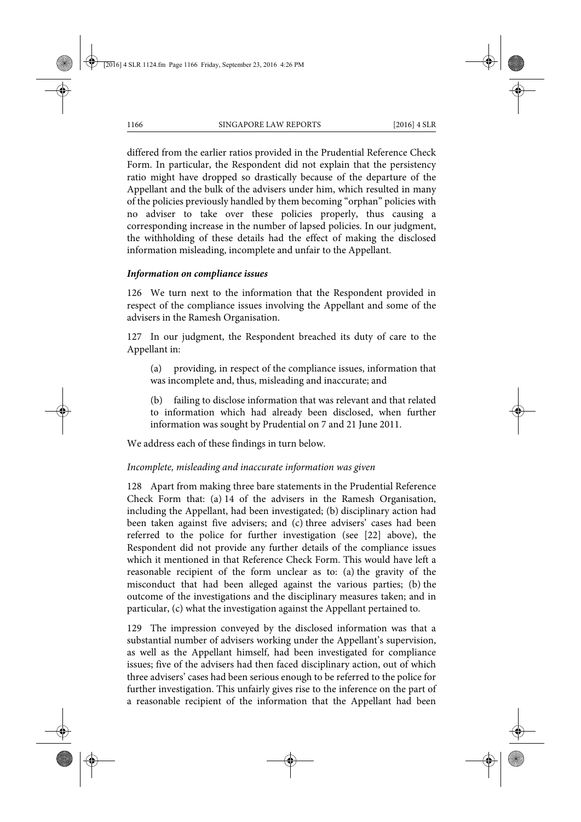differed from the earlier ratios provided in the Prudential Reference Check Form. In particular, the Respondent did not explain that the persistency ratio might have dropped so drastically because of the departure of the Appellant and the bulk of the advisers under him, which resulted in many of the policies previously handled by them becoming "orphan" policies with no adviser to take over these policies properly, thus causing a corresponding increase in the number of lapsed policies. In our judgment, the withholding of these details had the effect of making the disclosed information misleading, incomplete and unfair to the Appellant.

### *Information on compliance issues*

126 We turn next to the information that the Respondent provided in respect of the compliance issues involving the Appellant and some of the advisers in the Ramesh Organisation.

127 In our judgment, the Respondent breached its duty of care to the Appellant in:

(a) providing, in respect of the compliance issues, information that was incomplete and, thus, misleading and inaccurate; and

(b) failing to disclose information that was relevant and that related to information which had already been disclosed, when further information was sought by Prudential on 7 and 21 June 2011.

We address each of these findings in turn below.

### *Incomplete, misleading and inaccurate information was given*

128 Apart from making three bare statements in the Prudential Reference Check Form that: (a) 14 of the advisers in the Ramesh Organisation, including the Appellant, had been investigated; (b) disciplinary action had been taken against five advisers; and (c) three advisers' cases had been referred to the police for further investigation (see [22] above), the Respondent did not provide any further details of the compliance issues which it mentioned in that Reference Check Form. This would have left a reasonable recipient of the form unclear as to: (a) the gravity of the misconduct that had been alleged against the various parties; (b) the outcome of the investigations and the disciplinary measures taken; and in particular, (c) what the investigation against the Appellant pertained to.

129 The impression conveyed by the disclosed information was that a substantial number of advisers working under the Appellant's supervision, as well as the Appellant himself, had been investigated for compliance issues; five of the advisers had then faced disciplinary action, out of which three advisers' cases had been serious enough to be referred to the police for further investigation. This unfairly gives rise to the inference on the part of a reasonable recipient of the information that the Appellant had been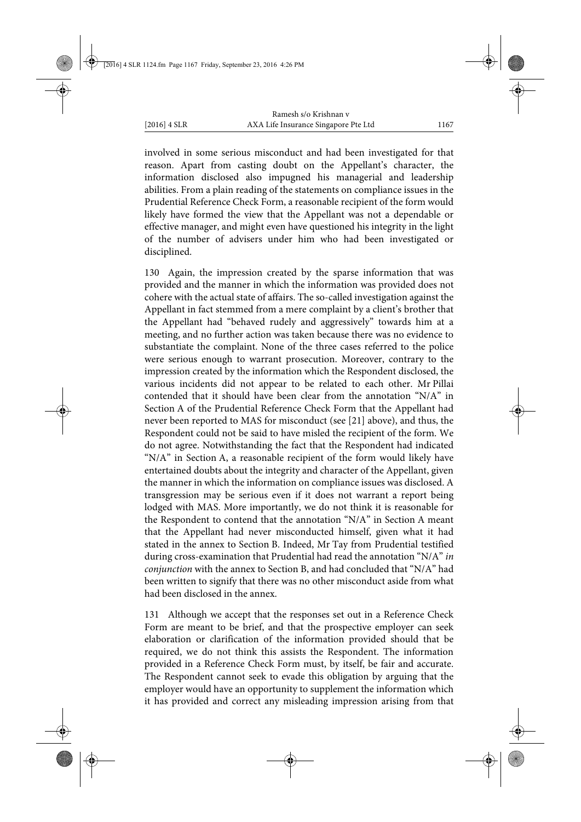involved in some serious misconduct and had been investigated for that reason. Apart from casting doubt on the Appellant's character, the information disclosed also impugned his managerial and leadership abilities. From a plain reading of the statements on compliance issues in the Prudential Reference Check Form, a reasonable recipient of the form would likely have formed the view that the Appellant was not a dependable or effective manager, and might even have questioned his integrity in the light of the number of advisers under him who had been investigated or disciplined.

130 Again, the impression created by the sparse information that was provided and the manner in which the information was provided does not cohere with the actual state of affairs. The so-called investigation against the Appellant in fact stemmed from a mere complaint by a client's brother that the Appellant had "behaved rudely and aggressively" towards him at a meeting, and no further action was taken because there was no evidence to substantiate the complaint. None of the three cases referred to the police were serious enough to warrant prosecution. Moreover, contrary to the impression created by the information which the Respondent disclosed, the various incidents did not appear to be related to each other. Mr Pillai contended that it should have been clear from the annotation "N/A" in Section A of the Prudential Reference Check Form that the Appellant had never been reported to MAS for misconduct (see [21] above), and thus, the Respondent could not be said to have misled the recipient of the form. We do not agree. Notwithstanding the fact that the Respondent had indicated "N/A" in Section A, a reasonable recipient of the form would likely have entertained doubts about the integrity and character of the Appellant, given the manner in which the information on compliance issues was disclosed. A transgression may be serious even if it does not warrant a report being lodged with MAS. More importantly, we do not think it is reasonable for the Respondent to contend that the annotation "N/A" in Section A meant that the Appellant had never misconducted himself, given what it had stated in the annex to Section B. Indeed, Mr Tay from Prudential testified during cross-examination that Prudential had read the annotation "N/A" *in conjunction* with the annex to Section B, and had concluded that "N/A" had been written to signify that there was no other misconduct aside from what had been disclosed in the annex.

131 Although we accept that the responses set out in a Reference Check Form are meant to be brief, and that the prospective employer can seek elaboration or clarification of the information provided should that be required, we do not think this assists the Respondent. The information provided in a Reference Check Form must, by itself, be fair and accurate. The Respondent cannot seek to evade this obligation by arguing that the employer would have an opportunity to supplement the information which it has provided and correct any misleading impression arising from that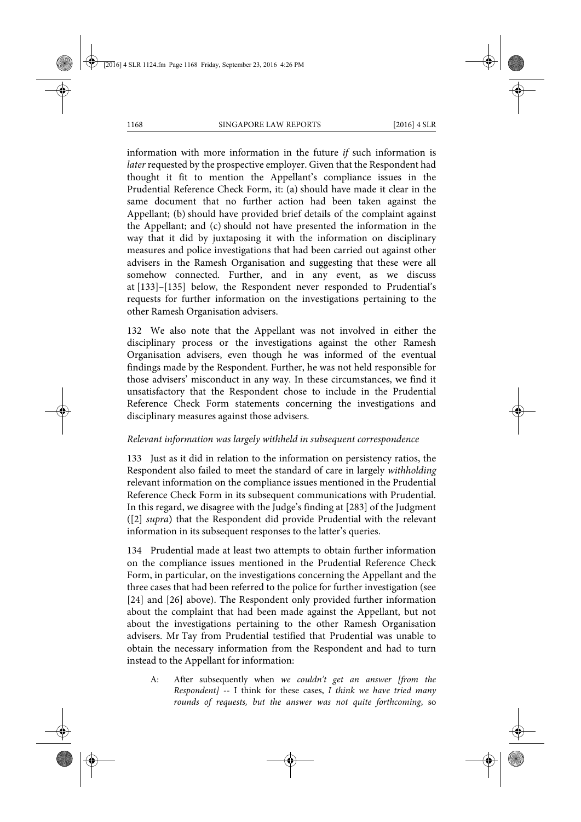information with more information in the future *if* such information is *later* requested by the prospective employer. Given that the Respondent had thought it fit to mention the Appellant's compliance issues in the Prudential Reference Check Form, it: (a) should have made it clear in the same document that no further action had been taken against the Appellant; (b) should have provided brief details of the complaint against the Appellant; and (c) should not have presented the information in the way that it did by juxtaposing it with the information on disciplinary measures and police investigations that had been carried out against other advisers in the Ramesh Organisation and suggesting that these were all somehow connected. Further, and in any event, as we discuss at [133]–[135] below, the Respondent never responded to Prudential's requests for further information on the investigations pertaining to the other Ramesh Organisation advisers.

132 We also note that the Appellant was not involved in either the disciplinary process or the investigations against the other Ramesh Organisation advisers, even though he was informed of the eventual findings made by the Respondent. Further, he was not held responsible for those advisers' misconduct in any way. In these circumstances, we find it unsatisfactory that the Respondent chose to include in the Prudential Reference Check Form statements concerning the investigations and disciplinary measures against those advisers.

# *Relevant information was largely withheld in subsequent correspondence*

133 Just as it did in relation to the information on persistency ratios, the Respondent also failed to meet the standard of care in largely *withholding* relevant information on the compliance issues mentioned in the Prudential Reference Check Form in its subsequent communications with Prudential. In this regard, we disagree with the Judge's finding at [283] of the Judgment ([2] *supra*) that the Respondent did provide Prudential with the relevant information in its subsequent responses to the latter's queries.

134 Prudential made at least two attempts to obtain further information on the compliance issues mentioned in the Prudential Reference Check Form, in particular, on the investigations concerning the Appellant and the three cases that had been referred to the police for further investigation (see [24] and [26] above). The Respondent only provided further information about the complaint that had been made against the Appellant, but not about the investigations pertaining to the other Ramesh Organisation advisers. Mr Tay from Prudential testified that Prudential was unable to obtain the necessary information from the Respondent and had to turn instead to the Appellant for information:

A: After subsequently when *we couldn't get an answer [from the Respondent]* -- I think for these cases, *I think we have tried many rounds of requests, but the answer was not quite forthcoming*, so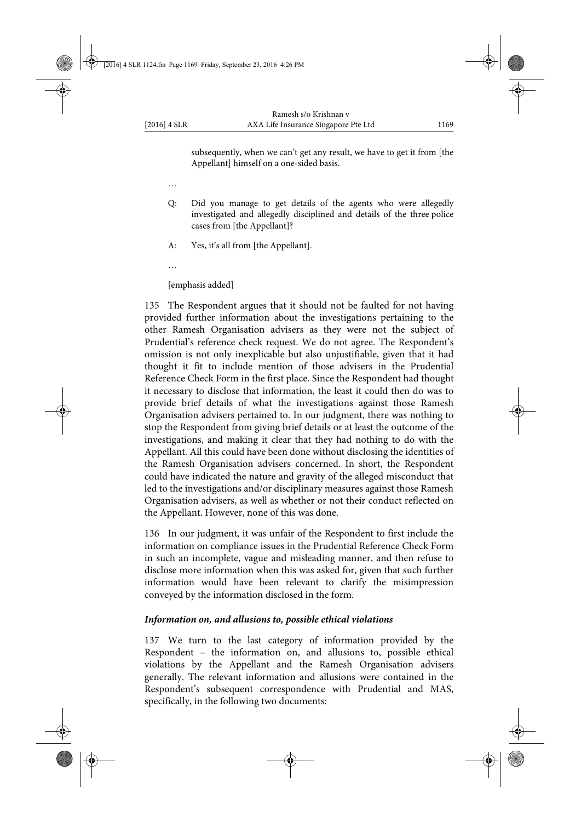subsequently, when we can't get any result, we have to get it from [the Appellant] himself on a one-sided basis.

- …
- Q: Did you manage to get details of the agents who were allegedly investigated and allegedly disciplined and details of the three police cases from [the Appellant]?
- A: Yes, it's all from [the Appellant].
- …

[emphasis added]

135 The Respondent argues that it should not be faulted for not having provided further information about the investigations pertaining to the other Ramesh Organisation advisers as they were not the subject of Prudential's reference check request. We do not agree. The Respondent's omission is not only inexplicable but also unjustifiable, given that it had thought it fit to include mention of those advisers in the Prudential Reference Check Form in the first place. Since the Respondent had thought it necessary to disclose that information, the least it could then do was to provide brief details of what the investigations against those Ramesh Organisation advisers pertained to. In our judgment, there was nothing to stop the Respondent from giving brief details or at least the outcome of the investigations, and making it clear that they had nothing to do with the Appellant. All this could have been done without disclosing the identities of the Ramesh Organisation advisers concerned. In short, the Respondent could have indicated the nature and gravity of the alleged misconduct that led to the investigations and/or disciplinary measures against those Ramesh Organisation advisers, as well as whether or not their conduct reflected on the Appellant. However, none of this was done.

136 In our judgment, it was unfair of the Respondent to first include the information on compliance issues in the Prudential Reference Check Form in such an incomplete, vague and misleading manner, and then refuse to disclose more information when this was asked for, given that such further information would have been relevant to clarify the misimpression conveyed by the information disclosed in the form.

### *Information on, and allusions to, possible ethical violations*

137 We turn to the last category of information provided by the Respondent – the information on, and allusions to, possible ethical violations by the Appellant and the Ramesh Organisation advisers generally. The relevant information and allusions were contained in the Respondent's subsequent correspondence with Prudential and MAS, specifically, in the following two documents: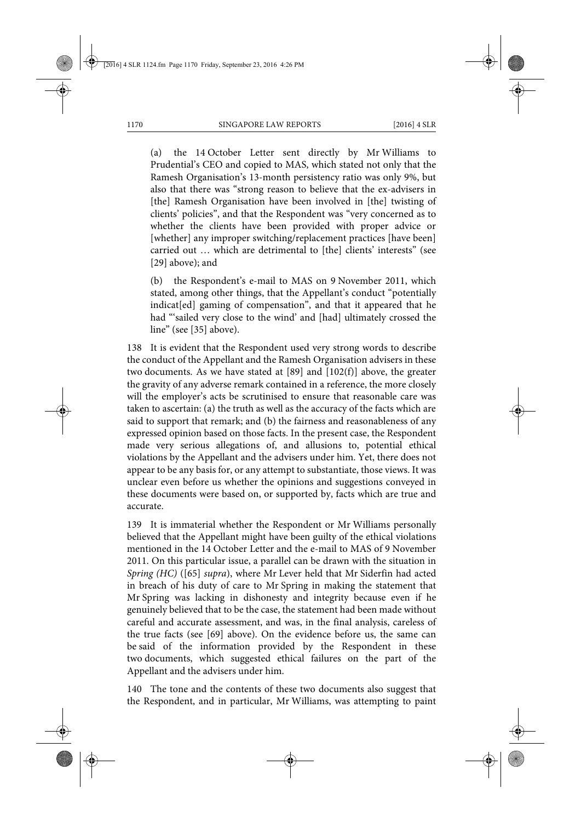(a) the 14 October Letter sent directly by Mr Williams to Prudential's CEO and copied to MAS, which stated not only that the Ramesh Organisation's 13-month persistency ratio was only 9%, but also that there was "strong reason to believe that the ex-advisers in [the] Ramesh Organisation have been involved in [the] twisting of clients' policies", and that the Respondent was "very concerned as to whether the clients have been provided with proper advice or [whether] any improper switching/replacement practices [have been] carried out … which are detrimental to [the] clients' interests" (see [29] above); and

(b) the Respondent's e-mail to MAS on 9 November 2011, which stated, among other things, that the Appellant's conduct "potentially indicat[ed] gaming of compensation", and that it appeared that he had "sailed very close to the wind' and [had] ultimately crossed the line" (see [35] above).

138 It is evident that the Respondent used very strong words to describe the conduct of the Appellant and the Ramesh Organisation advisers in these two documents. As we have stated at  $[89]$  and  $[102(f)]$  above, the greater the gravity of any adverse remark contained in a reference, the more closely will the employer's acts be scrutinised to ensure that reasonable care was taken to ascertain: (a) the truth as well as the accuracy of the facts which are said to support that remark; and (b) the fairness and reasonableness of any expressed opinion based on those facts. In the present case, the Respondent made very serious allegations of, and allusions to, potential ethical violations by the Appellant and the advisers under him. Yet, there does not appear to be any basis for, or any attempt to substantiate, those views. It was unclear even before us whether the opinions and suggestions conveyed in these documents were based on, or supported by, facts which are true and accurate.

139 It is immaterial whether the Respondent or Mr Williams personally believed that the Appellant might have been guilty of the ethical violations mentioned in the 14 October Letter and the e-mail to MAS of 9 November 2011. On this particular issue, a parallel can be drawn with the situation in *Spring (HC)* ([65] *supra*), where Mr Lever held that Mr Siderfin had acted in breach of his duty of care to Mr Spring in making the statement that Mr Spring was lacking in dishonesty and integrity because even if he genuinely believed that to be the case, the statement had been made without careful and accurate assessment, and was, in the final analysis, careless of the true facts (see [69] above). On the evidence before us, the same can be said of the information provided by the Respondent in these two documents, which suggested ethical failures on the part of the Appellant and the advisers under him.

140 The tone and the contents of these two documents also suggest that the Respondent, and in particular, Mr Williams, was attempting to paint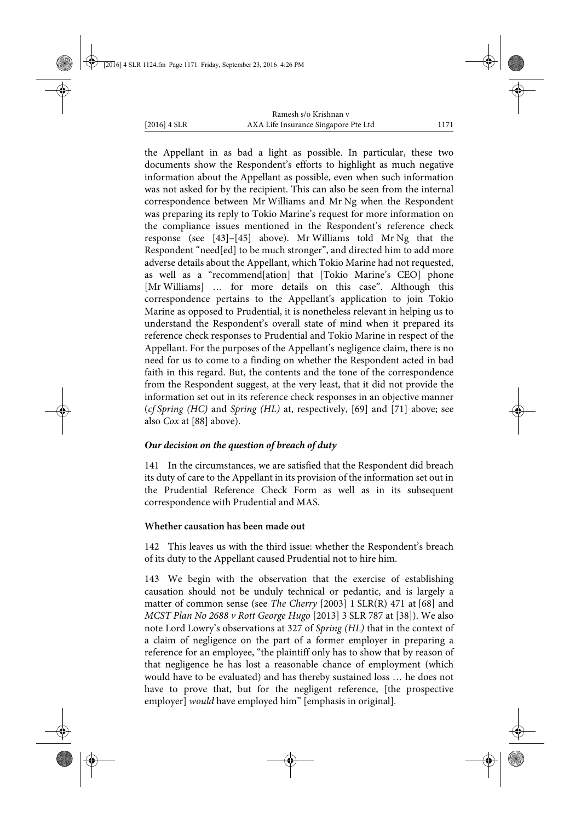the Appellant in as bad a light as possible. In particular, these two documents show the Respondent's efforts to highlight as much negative information about the Appellant as possible, even when such information was not asked for by the recipient. This can also be seen from the internal correspondence between Mr Williams and Mr Ng when the Respondent was preparing its reply to Tokio Marine's request for more information on the compliance issues mentioned in the Respondent's reference check response (see [43]–[45] above). Mr Williams told Mr Ng that the Respondent "need[ed] to be much stronger", and directed him to add more adverse details about the Appellant, which Tokio Marine had not requested, as well as a "recommend[ation] that [Tokio Marine's CEO] phone [Mr Williams] ... for more details on this case". Although this correspondence pertains to the Appellant's application to join Tokio Marine as opposed to Prudential, it is nonetheless relevant in helping us to understand the Respondent's overall state of mind when it prepared its reference check responses to Prudential and Tokio Marine in respect of the Appellant. For the purposes of the Appellant's negligence claim, there is no need for us to come to a finding on whether the Respondent acted in bad faith in this regard. But, the contents and the tone of the correspondence from the Respondent suggest, at the very least, that it did not provide the information set out in its reference check responses in an objective manner (*cf Spring (HC)* and *Spring (HL)* at, respectively, [69] and [71] above; see also *Cox* at [88] above).

### *Our decision on the question of breach of duty*

141 In the circumstances, we are satisfied that the Respondent did breach its duty of care to the Appellant in its provision of the information set out in the Prudential Reference Check Form as well as in its subsequent correspondence with Prudential and MAS.

### **Whether causation has been made out**

142 This leaves us with the third issue: whether the Respondent's breach of its duty to the Appellant caused Prudential not to hire him.

143 We begin with the observation that the exercise of establishing causation should not be unduly technical or pedantic, and is largely a matter of common sense (see *The Cherry* [2003] 1 SLR(R) 471 at [68] and *MCST Plan No 2688 v Rott George Hugo* [2013] 3 SLR 787 at [38]). We also note Lord Lowry's observations at 327 of *Spring (HL)* that in the context of a claim of negligence on the part of a former employer in preparing a reference for an employee, "the plaintiff only has to show that by reason of that negligence he has lost a reasonable chance of employment (which would have to be evaluated) and has thereby sustained loss … he does not have to prove that, but for the negligent reference, [the prospective employer] *would* have employed him" [emphasis in original].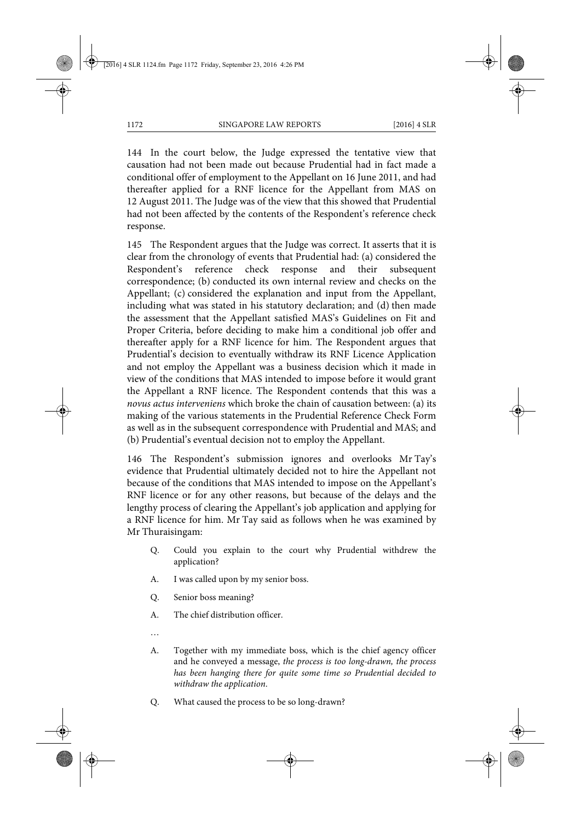144 In the court below, the Judge expressed the tentative view that causation had not been made out because Prudential had in fact made a conditional offer of employment to the Appellant on 16 June 2011, and had thereafter applied for a RNF licence for the Appellant from MAS on 12 August 2011. The Judge was of the view that this showed that Prudential had not been affected by the contents of the Respondent's reference check response.

145 The Respondent argues that the Judge was correct. It asserts that it is clear from the chronology of events that Prudential had: (a) considered the Respondent's reference check response and their subsequent correspondence; (b) conducted its own internal review and checks on the Appellant; (c) considered the explanation and input from the Appellant, including what was stated in his statutory declaration; and (d) then made the assessment that the Appellant satisfied MAS's Guidelines on Fit and Proper Criteria, before deciding to make him a conditional job offer and thereafter apply for a RNF licence for him. The Respondent argues that Prudential's decision to eventually withdraw its RNF Licence Application and not employ the Appellant was a business decision which it made in view of the conditions that MAS intended to impose before it would grant the Appellant a RNF licence. The Respondent contends that this was a *novus actus interveniens* which broke the chain of causation between: (a) its making of the various statements in the Prudential Reference Check Form as well as in the subsequent correspondence with Prudential and MAS; and (b) Prudential's eventual decision not to employ the Appellant.

146 The Respondent's submission ignores and overlooks Mr Tay's evidence that Prudential ultimately decided not to hire the Appellant not because of the conditions that MAS intended to impose on the Appellant's RNF licence or for any other reasons, but because of the delays and the lengthy process of clearing the Appellant's job application and applying for a RNF licence for him. Mr Tay said as follows when he was examined by Mr Thuraisingam:

- Q. Could you explain to the court why Prudential withdrew the application?
- A. I was called upon by my senior boss.
- Q. Senior boss meaning?
- A. The chief distribution officer.
- …
- A. Together with my immediate boss, which is the chief agency officer and he conveyed a message, *the process is too long-drawn, the process has been hanging there for quite some time so Prudential decided to withdraw the application*.
- Q. What caused the process to be so long-drawn?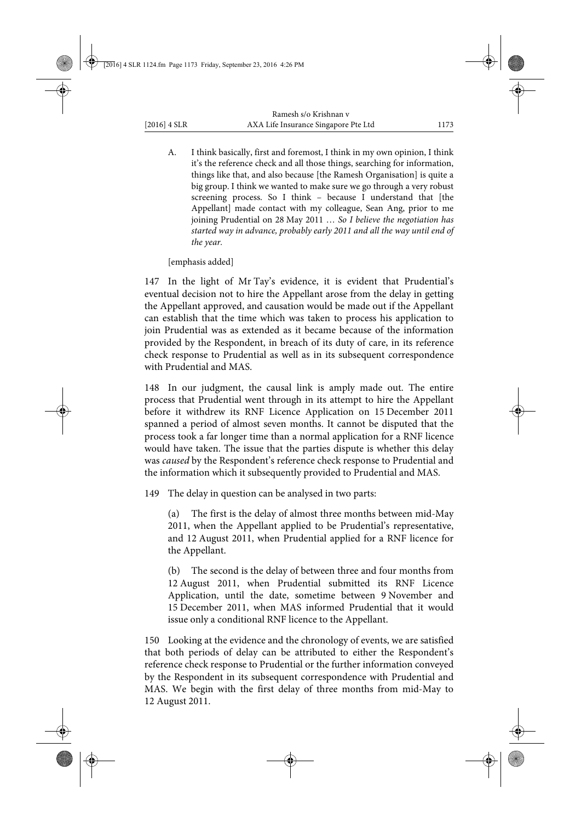A. I think basically, first and foremost, I think in my own opinion, I think it's the reference check and all those things, searching for information, things like that, and also because [the Ramesh Organisation] is quite a big group. I think we wanted to make sure we go through a very robust screening process. So I think – because I understand that [the Appellant] made contact with my colleague, Sean Ang, prior to me joining Prudential on 28 May 2011 … *So I believe the negotiation has started way in advance, probably early 2011 and all the way until end of the year.*

[emphasis added]

147 In the light of Mr Tay's evidence, it is evident that Prudential's eventual decision not to hire the Appellant arose from the delay in getting the Appellant approved, and causation would be made out if the Appellant can establish that the time which was taken to process his application to join Prudential was as extended as it became because of the information provided by the Respondent, in breach of its duty of care, in its reference check response to Prudential as well as in its subsequent correspondence with Prudential and MAS.

148 In our judgment, the causal link is amply made out. The entire process that Prudential went through in its attempt to hire the Appellant before it withdrew its RNF Licence Application on 15 December 2011 spanned a period of almost seven months. It cannot be disputed that the process took a far longer time than a normal application for a RNF licence would have taken. The issue that the parties dispute is whether this delay was *caused* by the Respondent's reference check response to Prudential and the information which it subsequently provided to Prudential and MAS.

149 The delay in question can be analysed in two parts:

(a) The first is the delay of almost three months between mid-May 2011, when the Appellant applied to be Prudential's representative, and 12 August 2011, when Prudential applied for a RNF licence for the Appellant.

(b) The second is the delay of between three and four months from 12 August 2011, when Prudential submitted its RNF Licence Application, until the date, sometime between 9 November and 15 December 2011, when MAS informed Prudential that it would issue only a conditional RNF licence to the Appellant.

150 Looking at the evidence and the chronology of events, we are satisfied that both periods of delay can be attributed to either the Respondent's reference check response to Prudential or the further information conveyed by the Respondent in its subsequent correspondence with Prudential and MAS. We begin with the first delay of three months from mid-May to 12 August 2011.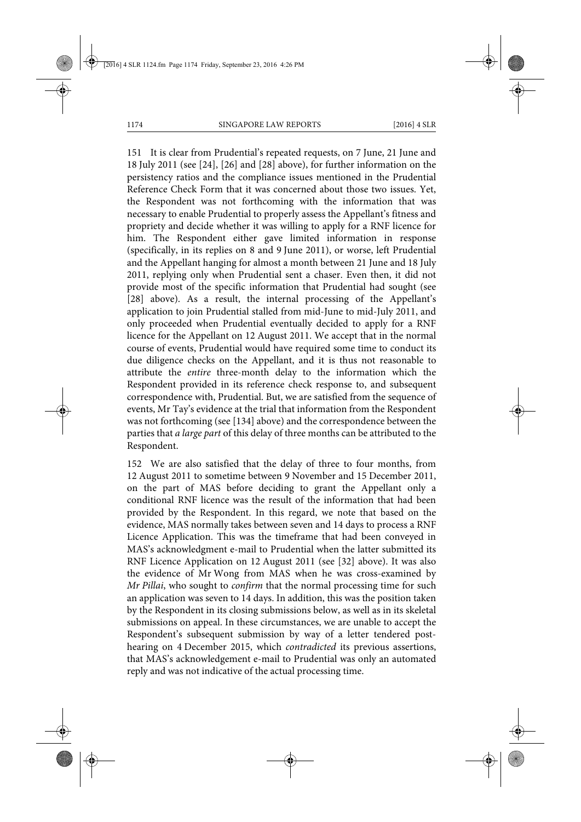151 It is clear from Prudential's repeated requests, on 7 June, 21 June and 18 July 2011 (see [24], [26] and [28] above), for further information on the persistency ratios and the compliance issues mentioned in the Prudential Reference Check Form that it was concerned about those two issues. Yet, the Respondent was not forthcoming with the information that was necessary to enable Prudential to properly assess the Appellant's fitness and propriety and decide whether it was willing to apply for a RNF licence for him. The Respondent either gave limited information in response (specifically, in its replies on 8 and 9 June 2011), or worse, left Prudential and the Appellant hanging for almost a month between 21 June and 18 July 2011, replying only when Prudential sent a chaser. Even then, it did not provide most of the specific information that Prudential had sought (see [28] above). As a result, the internal processing of the Appellant's application to join Prudential stalled from mid-June to mid-July 2011, and only proceeded when Prudential eventually decided to apply for a RNF licence for the Appellant on 12 August 2011. We accept that in the normal course of events, Prudential would have required some time to conduct its due diligence checks on the Appellant, and it is thus not reasonable to attribute the *entire* three-month delay to the information which the Respondent provided in its reference check response to, and subsequent correspondence with, Prudential. But, we are satisfied from the sequence of events, Mr Tay's evidence at the trial that information from the Respondent was not forthcoming (see [134] above) and the correspondence between the parties that *a large part* of this delay of three months can be attributed to the Respondent.

152 We are also satisfied that the delay of three to four months, from 12 August 2011 to sometime between 9 November and 15 December 2011, on the part of MAS before deciding to grant the Appellant only a conditional RNF licence was the result of the information that had been provided by the Respondent. In this regard, we note that based on the evidence, MAS normally takes between seven and 14 days to process a RNF Licence Application. This was the timeframe that had been conveyed in MAS's acknowledgment e-mail to Prudential when the latter submitted its RNF Licence Application on 12 August 2011 (see [32] above). It was also the evidence of Mr Wong from MAS when he was cross-examined by *Mr Pillai*, who sought to *confirm* that the normal processing time for such an application was seven to 14 days. In addition, this was the position taken by the Respondent in its closing submissions below, as well as in its skeletal submissions on appeal. In these circumstances, we are unable to accept the Respondent's subsequent submission by way of a letter tendered posthearing on 4 December 2015, which *contradicted* its previous assertions, that MAS's acknowledgement e-mail to Prudential was only an automated reply and was not indicative of the actual processing time.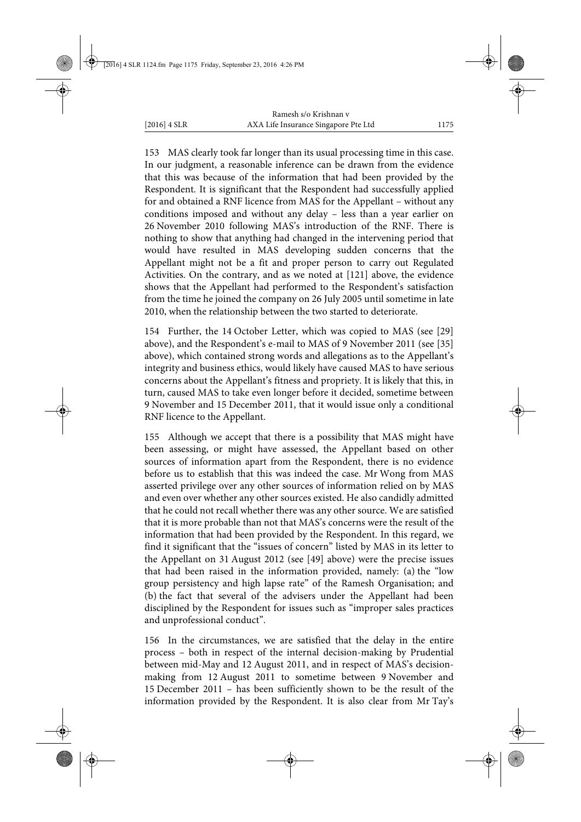153 MAS clearly took far longer than its usual processing time in this case. In our judgment, a reasonable inference can be drawn from the evidence that this was because of the information that had been provided by the Respondent. It is significant that the Respondent had successfully applied for and obtained a RNF licence from MAS for the Appellant – without any conditions imposed and without any delay – less than a year earlier on 26 November 2010 following MAS's introduction of the RNF. There is nothing to show that anything had changed in the intervening period that would have resulted in MAS developing sudden concerns that the Appellant might not be a fit and proper person to carry out Regulated Activities. On the contrary, and as we noted at [121] above, the evidence shows that the Appellant had performed to the Respondent's satisfaction from the time he joined the company on 26 July 2005 until sometime in late 2010, when the relationship between the two started to deteriorate.

154 Further, the 14 October Letter, which was copied to MAS (see [29] above), and the Respondent's e-mail to MAS of 9 November 2011 (see [35] above), which contained strong words and allegations as to the Appellant's integrity and business ethics, would likely have caused MAS to have serious concerns about the Appellant's fitness and propriety. It is likely that this, in turn, caused MAS to take even longer before it decided, sometime between 9 November and 15 December 2011, that it would issue only a conditional RNF licence to the Appellant.

155 Although we accept that there is a possibility that MAS might have been assessing, or might have assessed, the Appellant based on other sources of information apart from the Respondent, there is no evidence before us to establish that this was indeed the case. Mr Wong from MAS asserted privilege over any other sources of information relied on by MAS and even over whether any other sources existed. He also candidly admitted that he could not recall whether there was any other source. We are satisfied that it is more probable than not that MAS's concerns were the result of the information that had been provided by the Respondent. In this regard, we find it significant that the "issues of concern" listed by MAS in its letter to the Appellant on 31 August 2012 (see [49] above) were the precise issues that had been raised in the information provided, namely: (a) the "low group persistency and high lapse rate" of the Ramesh Organisation; and (b) the fact that several of the advisers under the Appellant had been disciplined by the Respondent for issues such as "improper sales practices and unprofessional conduct".

156 In the circumstances, we are satisfied that the delay in the entire process – both in respect of the internal decision-making by Prudential between mid-May and 12 August 2011, and in respect of MAS's decisionmaking from 12 August 2011 to sometime between 9 November and 15 December 2011 – has been sufficiently shown to be the result of the information provided by the Respondent. It is also clear from Mr Tay's